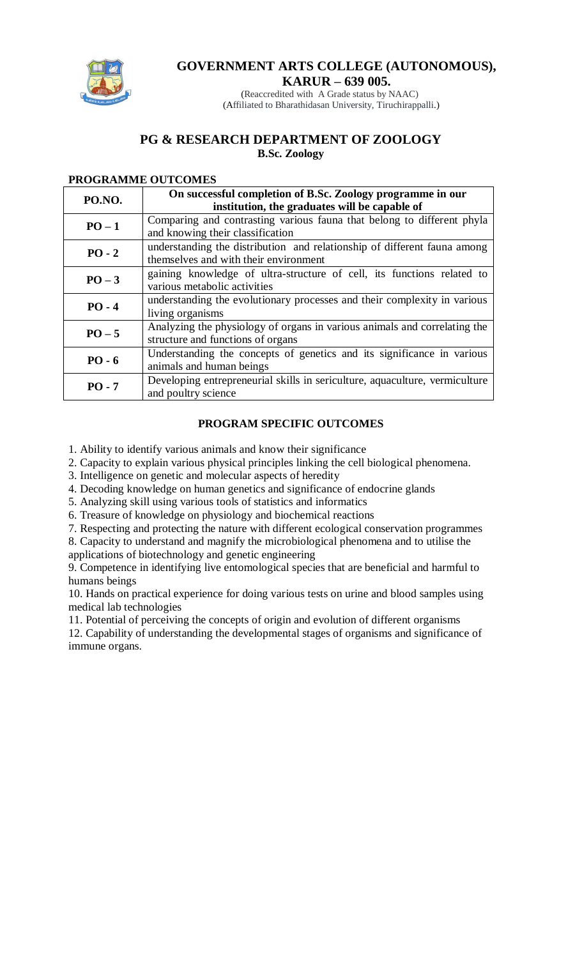

## **GOVERNMENT ARTS COLLEGE (AUTONOMOUS), KARUR – 639 005.**

(Reaccredited with A Grade status by NAAC) (Affiliated to Bharathidasan University, Tiruchirappalli.)

## **PG & RESEARCH DEPARTMENT OF ZOOLOGY B.Sc. Zoology**

## **PROGRAMME OUTCOMES**

| PO.NO.   | On successful completion of B.Sc. Zoology programme in our<br>institution, the graduates will be capable of       |  |  |  |  |  |
|----------|-------------------------------------------------------------------------------------------------------------------|--|--|--|--|--|
| $PO-1$   | Comparing and contrasting various fauna that belong to different phyla<br>and knowing their classification        |  |  |  |  |  |
| $PO - 2$ | understanding the distribution and relationship of different fauna among<br>themselves and with their environment |  |  |  |  |  |
| $PO-3$   | gaining knowledge of ultra-structure of cell, its functions related to<br>various metabolic activities            |  |  |  |  |  |
| $PO - 4$ | understanding the evolutionary processes and their complexity in various<br>living organisms                      |  |  |  |  |  |
| $PO - 5$ | Analyzing the physiology of organs in various animals and correlating the<br>structure and functions of organs    |  |  |  |  |  |
| $PO - 6$ | Understanding the concepts of genetics and its significance in various<br>animals and human beings                |  |  |  |  |  |
| $PO - 7$ | Developing entrepreneurial skills in sericulture, aquaculture, vermiculture<br>and poultry science                |  |  |  |  |  |

## **PROGRAM SPECIFIC OUTCOMES**

1. Ability to identify various animals and know their significance

2. Capacity to explain various physical principles linking the cell biological phenomena.

3. Intelligence on genetic and molecular aspects of heredity

4. Decoding knowledge on human genetics and significance of endocrine glands

5. Analyzing skill using various tools of statistics and informatics

6. Treasure of knowledge on physiology and biochemical reactions

7. Respecting and protecting the nature with different ecological conservation programmes

8. Capacity to understand and magnify the microbiological phenomena and to utilise the applications of biotechnology and genetic engineering

9. Competence in identifying live entomological species that are beneficial and harmful to humans beings

10. Hands on practical experience for doing various tests on urine and blood samples using medical lab technologies

11. Potential of perceiving the concepts of origin and evolution of different organisms

12. Capability of understanding the developmental stages of organisms and significance of immune organs.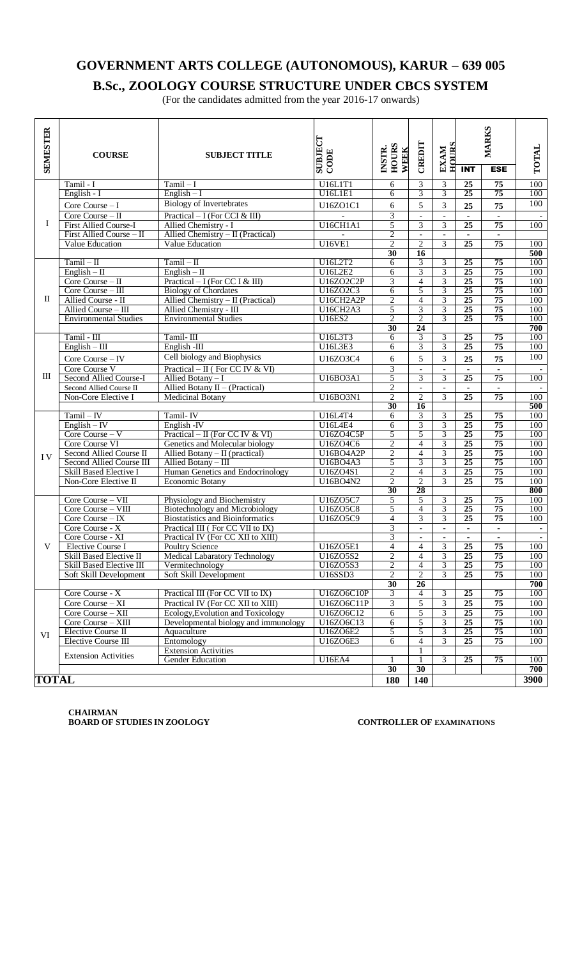## **B.Sc., ZOOLOGY COURSE STRUCTURE UNDER CBCS SYSTEM**

(For the candidates admitted from the year 2016-17 onwards)

| <b>SEMESTER</b> | <b>COURSE</b>                                     | <b>SUBJECT TITLE</b>                                             | SUBJECT<br>CODE             | <b>HOURS</b><br>INSTR.<br>WEEK | CREDIT                         | HOURS<br><b>EXAM</b>             | <b>MARKS</b>                      |                      | TOTAL      |
|-----------------|---------------------------------------------------|------------------------------------------------------------------|-----------------------------|--------------------------------|--------------------------------|----------------------------------|-----------------------------------|----------------------|------------|
|                 |                                                   |                                                                  |                             |                                |                                |                                  | <b>INT</b>                        | <b>ESE</b>           |            |
|                 | Tamil - I                                         | $Tamil - I$                                                      | U16L1T1                     | 6                              | 3                              | $\ensuremath{\mathfrak{Z}}$      | 25                                | 75                   | 100        |
|                 | English - I                                       | $English - I$                                                    | <b>U16L1E1</b>              | 6                              | $\overline{3}$                 | $\overline{3}$                   | $\overline{25}$                   | 75                   | 100        |
|                 | Core Course $-I$                                  | <b>Biology of Invertebrates</b>                                  | U16ZO1C1                    | 6                              | 5                              | 3                                | 25                                | 75                   | 100        |
|                 | Core Course - II                                  | Practical $-$ I (For CCI & III)                                  |                             | 3                              | $\overline{\phantom{a}}$       | $\overline{\phantom{a}}$         | $\blacksquare$                    |                      |            |
| Ι.              | <b>First Allied Course-I</b>                      | Allied Chemistry - I                                             | U16CH1A1                    | 5                              | 3                              | 3                                | $\overline{25}$                   | 75                   | 100        |
|                 | First Allied Course - II                          | Allied Chemistry $-$ II (Practical)                              |                             | $\overline{2}$                 | $\overline{\phantom{a}}$       |                                  |                                   |                      |            |
|                 | Value Education                                   | Value Education                                                  | <b>U16VE1</b>               | $\overline{2}$                 | $\overline{2}$                 | 3                                | $\overline{25}$                   | $\overline{75}$      | 100        |
|                 |                                                   |                                                                  |                             | 30                             | 16                             |                                  |                                   |                      | 500        |
|                 | $Tamil - II$                                      | $Tamil - II$                                                     | U16L2T2                     | 6                              | 3<br>$\overline{3}$            | 3                                | $\overline{25}$                   | 75                   | 100        |
|                 | $English - II$                                    | $English - II$                                                   | U16L2E2                     | 6                              |                                | $\overline{\mathbf{3}}$          | $\overline{25}$                   | $\overline{75}$      | 100        |
|                 | Core Course - II                                  | Practical $-$ I (For CC I & III)                                 | U16ZO2C2P                   | $\overline{3}$                 | $\overline{4}$                 | $\overline{3}$<br>$\overline{3}$ | 25<br>$\overline{25}$             | 75<br>75             | 100<br>100 |
| $\mathbf{I}$    | Core Course - III<br>Allied Course - II           | <b>Biology of Chordates</b><br>Allied Chemistry - II (Practical) | U16ZO2C3<br>U16CH2A2P       | 6<br>$\overline{2}$            | 5<br>$\overline{4}$            | 3                                | 25                                | 75                   | 100        |
|                 | Allied Course - III                               | Allied Chemistry - III                                           | U16CH2A3                    | 5                              | $\overline{3}$                 | $\overline{3}$                   | 25                                | 75                   | 100        |
|                 | <b>Environmental Studies</b>                      | <b>Environmental Studies</b>                                     | <b>U16ES2</b>               | $\overline{2}$                 | $\overline{2}$                 | $\overline{3}$                   | $\overline{25}$                   | 75                   | 100        |
|                 |                                                   |                                                                  |                             | 30                             | 24                             |                                  |                                   |                      | 700        |
|                 | Tamil - III                                       | Tamil-III                                                        | U16L3T3                     | 6                              | 3                              | 3                                | 25                                | 75                   | 100        |
|                 | $English - III$                                   | English -III                                                     | U16L3E3                     | 6                              | $\overline{3}$                 | $\overline{3}$                   | $\overline{25}$                   | 75                   | 100        |
|                 |                                                   | Cell biology and Biophysics                                      | U16ZO3C4                    | $\sqrt{6}$                     | 5                              | 3                                |                                   |                      | 100        |
|                 | Core Course - IV                                  |                                                                  |                             | $\overline{3}$                 |                                |                                  | 25                                | 75                   |            |
| Ш               | Core Course V                                     | Practical – $II$ (For CC IV & VI)                                |                             |                                | $\overline{\phantom{a}}$       |                                  | $\overline{25}$                   |                      |            |
|                 | Second Allied Course-I<br>Second Allied Course II | Allied Botany - I<br>Allied Botany $II - (Practical)$            | U16BO3A1                    | 5<br>$\mathbf{2}$              | $\overline{3}$<br>$\mathbb{L}$ | 3<br>$\overline{\phantom{a}}$    |                                   | 75                   | 100        |
|                 | Non-Core Elective I                               | <b>Medicinal Botany</b>                                          | U16BO3N1                    | $\mathfrak{2}$                 | $\overline{2}$                 | $\overline{3}$                   | $\blacksquare$<br>$\overline{25}$ | $\blacksquare$<br>75 | 100        |
|                 |                                                   |                                                                  |                             | 30                             | 16                             |                                  |                                   |                      | 500        |
|                 | $Tamil - IV$                                      | Tamil-IV                                                         | U16L4T4                     | 6                              | $\overline{3}$                 | 3                                | $\overline{25}$                   | 75                   | 100        |
|                 | $English - IV$                                    | English - IV                                                     | <b>U16L4E4</b>              | $\overline{6}$                 | 3                              | $\overline{3}$                   | $\overline{25}$                   | 75                   | 100        |
|                 | Core Course - V                                   | Practical – II (For CC IV & VI)                                  | U16ZO4C5P                   | 5                              | 5                              | $\overline{\mathbf{3}}$          | 25                                | 75                   | 100        |
|                 | Core Course VI                                    | Genetics and Molecular biology                                   | U16ZO4C6                    | $\overline{2}$                 | $\overline{4}$                 | $\overline{\mathbf{3}}$          | 25                                | 75                   | 100        |
|                 | Second Allied Course II                           | Allied Botany $-$ II (practical)                                 | U16BO4A2P                   | $\overline{2}$                 | $\overline{4}$                 | $\overline{3}$                   | 25                                | 75                   | 100        |
| IV              | Second Allied Course III                          | Allied Botany - III                                              | <b>U16BO4A3</b>             | 5                              | $\overline{\mathbf{3}}$        | 3                                | 25                                | 75                   | 100        |
|                 | Skill Based Elective I                            | Human Genetics and Endocrinology                                 | U16ZO4S1                    | $\overline{2}$                 | $\overline{4}$                 | $\overline{3}$                   | 25                                | 75                   | 100        |
|                 | Non-Core Elective II                              | Economic Botany                                                  | U16BO4N2                    | $\overline{2}$                 | $\overline{2}$                 | $\overline{3}$                   | $\overline{25}$                   | 75                   | 100        |
|                 |                                                   |                                                                  |                             | 30                             | 28                             |                                  |                                   |                      | 800        |
|                 | Core Course - VII                                 | Physiology and Biochemistry                                      | U16ZO5C7                    | 5                              | 5                              | 3                                | 25                                | 75                   | 100        |
|                 | Core Course - VIII                                | Biotechnology and Microbiology                                   | U16ZO5C8                    | 5                              | $\overline{4}$                 | 3                                | 25                                | 75                   | 100        |
|                 | Core Course - IX                                  | <b>Biostatistics and Bioinformatics</b>                          | U16ZO5C9                    | $\overline{4}$                 | $\overline{3}$                 | $\overline{3}$                   | $\overline{25}$                   | 75                   | 100        |
|                 | Core Course - X                                   | Practical III (For CC VII to IX)                                 |                             | $\overline{3}$                 | $\equiv$                       | $\overline{\phantom{a}}$         | $\blacksquare$                    | ä,                   |            |
|                 | Core Course - XI                                  | Practical IV (For CC XII to XIII)                                |                             | $\overline{3}$                 | $\overline{\phantom{a}}$       | $\overline{\phantom{a}}$         | $\blacksquare$                    |                      |            |
| V               | <b>Elective Course I</b>                          | <b>Poultry Science</b>                                           | U16Z05E1                    | $\overline{\mathcal{A}}$       | $\overline{4}$                 | 3                                | $\overline{25}$                   | $\overline{75}$      | 100        |
|                 | Skill Based Elective II                           | <b>Medical Labaratory Technology</b>                             | U16ZO5S2                    | $\overline{2}$                 | $\overline{4}$                 | $\overline{3}$                   | 25                                | 75                   | 100        |
|                 | Skill Based Elective III                          | Vermitechnology                                                  | U16ZO5S3                    | $\overline{2}$                 | $\overline{\mathcal{L}}$       | 3                                | 25                                | 75                   | 100        |
|                 | Soft Skill Development                            | Soft Skill Development                                           | <b>U16SSD3</b>              | $\overline{2}$                 | $\overline{2}$                 | $\overline{3}$                   | $\overline{25}$                   | 75                   | 100        |
|                 |                                                   |                                                                  |                             | 30                             | 26                             |                                  |                                   |                      | 700        |
|                 | Core Course - X                                   | Practical III (For CC VII to IX)                                 | U16ZO6C10P                  | $\overline{3}$                 | $\overline{4}$                 | 3                                | $\overline{25}$                   | 75                   | 100        |
|                 | Core Course - XI                                  | Practical IV (For CC XII to XIII)                                | U16ZO6C11P<br>U16ZO6C12     | $\overline{3}$                 | 5                              | $\overline{\mathbf{3}}$          | $\overline{25}$                   | 75                   | 100        |
| VI              | Core Course - XII                                 | Ecology, Evolution and Toxicology                                |                             | $\overline{6}$                 | 5                              | $\overline{3}$                   | 25                                | 75                   | 100        |
|                 | Core Course - XIII                                | Developmental biology and immunology                             | U16ZO6C13                   | 6<br>5                         | 5<br>5                         | 3<br>$\overline{3}$              | $\overline{25}$<br>25             | 75<br>75             | 100        |
|                 | Elective Course II<br><b>Elective Course III</b>  | Aquaculture<br>Entomology                                        | <b>U16ZO6E2</b><br>U16ZO6E3 | 6                              | $\overline{4}$                 | 3                                | 25                                | 75                   | 100<br>100 |
|                 |                                                   | <b>Extension Activities</b>                                      |                             |                                | 1                              |                                  |                                   |                      |            |
|                 | <b>Extension Activities</b>                       | Gender Education                                                 | <b>U16EA4</b>               |                                | $\mathbf{1}$                   | 3                                | 25                                | $\overline{75}$      | 100        |
|                 |                                                   |                                                                  |                             | 30                             | 30                             |                                  |                                   |                      | 700        |
| TOTAL           |                                                   |                                                                  |                             |                                |                                |                                  |                                   |                      | 3900       |
|                 |                                                   |                                                                  |                             | 180                            | 140                            |                                  |                                   |                      |            |

**CHAIRMAN BOARD OF STUDIES IN ZOOLOGY CONTROLLER OF EXAMINATIONS**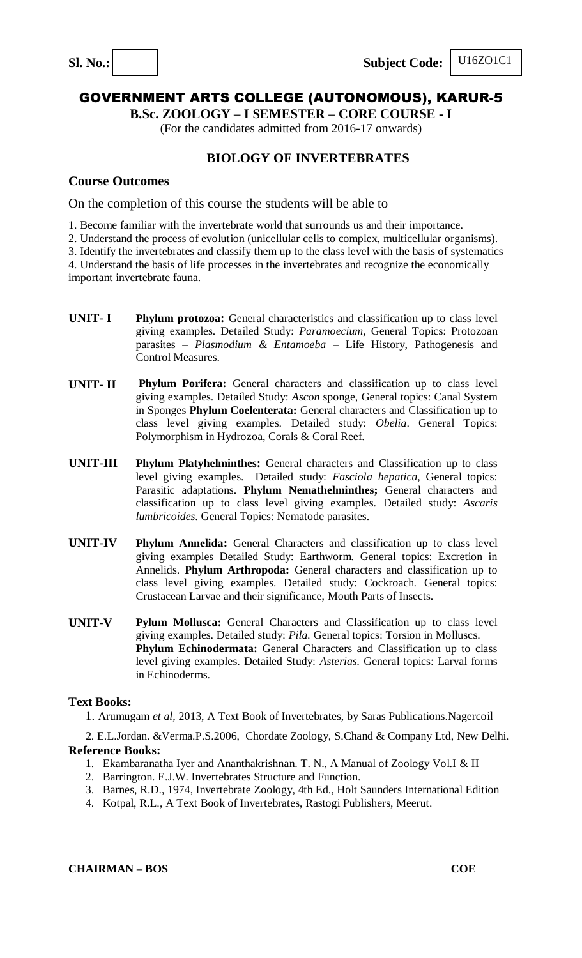

**B.Sc. ZOOLOGY – I SEMESTER – CORE COURSE - I**

(For the candidates admitted from 2016-17 onwards)

## **BIOLOGY OF INVERTEBRATES**

## **Course Outcomes**

On the completion of this course the students will be able to

1. Become familiar with the invertebrate world that surrounds us and their importance.

2. Understand the process of evolution (unicellular cells to complex, multicellular organisms).

3. Identify the invertebrates and classify them up to the class level with the basis of systematics

4. Understand the basis of life processes in the invertebrates and recognize the economically

important invertebrate fauna.

- **UNIT- I Phylum protozoa:** General characteristics and classification up to class level giving examples. Detailed Study: *Paramoecium,* General Topics: Protozoan parasites – *Plasmodium & Entamoeba* – Life History, Pathogenesis and Control Measures.
- **UNIT- II Phylum Porifera:** General characters and classification up to class level giving examples. Detailed Study: *Ascon* sponge, General topics: Canal System in Sponges **Phylum Coelenterata:** General characters and Classification up to class level giving examples. Detailed study: *Obelia*. General Topics: Polymorphism in Hydrozoa, Corals & Coral Reef.
- **UNIT-III Phylum Platyhelminthes:** General characters and Classification up to class level giving examples. Detailed study: *Fasciola hepatica*, General topics: Parasitic adaptations. **Phylum Nemathelminthes;** General characters and classification up to class level giving examples. Detailed study: *Ascaris lumbricoides*. General Topics: Nematode parasites.
- **UNIT-IV Phylum Annelida:** General Characters and classification up to class level giving examples Detailed Study: Earthworm*.* General topics: Excretion in Annelids. **Phylum Arthropoda:** General characters and classification up to class level giving examples. Detailed study: Cockroach*.* General topics: Crustacean Larvae and their significance, Mouth Parts of Insects.
- **UNIT-V Pylum Mollusca:** General Characters and Classification up to class level giving examples. Detailed study: *Pila.* General topics: Torsion in Molluscs. **Phylum Echinodermata:** General Characters and Classification up to class level giving examples. Detailed Study: *Asterias.* General topics: Larval forms in Echinoderms.

#### **Text Books:**

1. Arumugam *et al,* 2013, A Text Book of Invertebrates, by Saras Publications.Nagercoil

 2. E.L.Jordan. &Verma.P.S.2006, Chordate Zoology, S.Chand & Company Ltd, New Delhi. **Reference Books:**

- 1. Ekambaranatha Iyer and Ananthakrishnan. T. N., A Manual of Zoology Vol.I & II
- 2. Barrington. E.J.W. Invertebrates Structure and Function.
- 3. Barnes, R.D., 1974, Invertebrate Zoology, 4th Ed., Holt Saunders International Edition
- 4. Kotpal, R.L., A Text Book of Invertebrates, Rastogi Publishers, Meerut.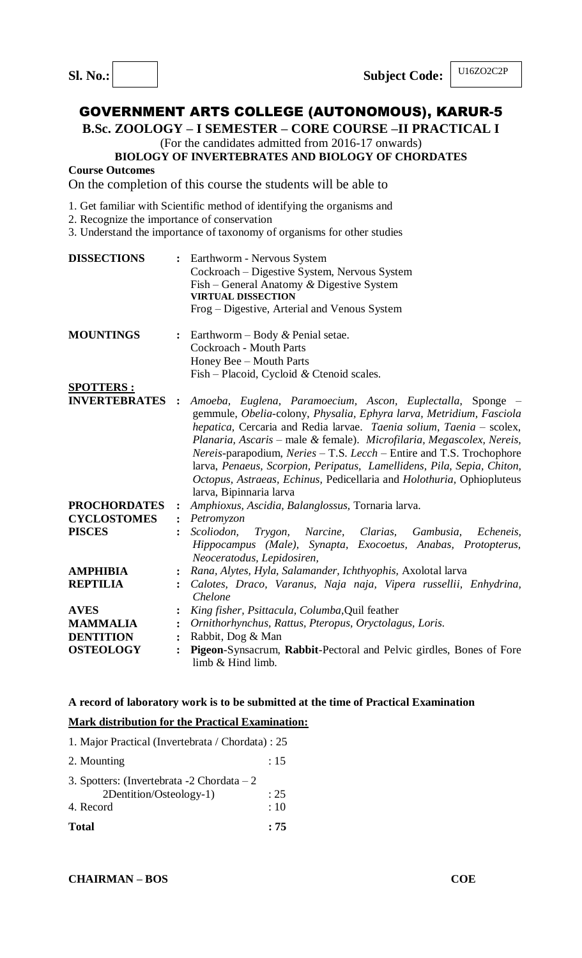**B.Sc. ZOOLOGY – I SEMESTER – CORE COURSE –II PRACTICAL I**

(For the candidates admitted from 2016-17 onwards)

#### **BIOLOGY OF INVERTEBRATES AND BIOLOGY OF CHORDATES**

**Course Outcomes**

On the completion of this course the students will be able to

- 1. Get familiar with Scientific method of identifying the organisms and
- 2. Recognize the importance of conservation
- 3. Understand the importance of taxonomy of organisms for other studies

| <b>DISSECTIONS</b>                         | $\ddot{\cdot}$ | Earthworm - Nervous System<br>Cockroach - Digestive System, Nervous System<br>Fish – General Anatomy $\&$ Digestive System<br><b>VIRTUAL DISSECTION</b><br>Frog – Digestive, Arterial and Venous System                                                                                                                                                                                                                                                                                                                                  |
|--------------------------------------------|----------------|------------------------------------------------------------------------------------------------------------------------------------------------------------------------------------------------------------------------------------------------------------------------------------------------------------------------------------------------------------------------------------------------------------------------------------------------------------------------------------------------------------------------------------------|
| <b>MOUNTINGS</b>                           | $\ddot{\cdot}$ | Earthworm – Body $\&$ Penial setae.<br><b>Cockroach - Mouth Parts</b><br>Honey Bee - Mouth Parts<br>Fish – Placoid, Cycloid & Ctenoid scales.                                                                                                                                                                                                                                                                                                                                                                                            |
| <b>SPOTTERS:</b><br><b>INVERTEBRATES :</b> |                | Amoeba, Euglena, Paramoecium, Ascon, Euplectalla, Sponge –<br>gemmule, Obelia-colony, Physalia, Ephyra larva, Metridium, Fasciola<br>hepatica, Cercaria and Redia larvae. Taenia solium, Taenia - scolex,<br>Planaria, Ascaris – male & female). Microfilaria, Megascolex, Nereis,<br>Nereis-parapodium, Neries - T.S. Lecch - Entire and T.S. Trochophore<br>larva, Penaeus, Scorpion, Peripatus, Lamellidens, Pila, Sepia, Chiton,<br>Octopus, Astraeas, Echinus, Pedicellaria and Holothuria, Ophiopluteus<br>larva, Bipinnaria larva |
| <b>PROCHORDATES</b>                        | $\ddot{\cdot}$ | Amphioxus, Ascidia, Balanglossus, Tornaria larva.                                                                                                                                                                                                                                                                                                                                                                                                                                                                                        |
| <b>CYCLOSTOMES</b>                         | $\ddot{\cdot}$ | Petromyzon                                                                                                                                                                                                                                                                                                                                                                                                                                                                                                                               |
| <b>PISCES</b>                              | $\ddot{\cdot}$ | Scoliodon,<br>Narcine, Clarias,<br>Gambusia,<br>Trygon,<br>Echeneis,<br>Hippocampus (Male), Synapta, Exocoetus, Anabas, Protopterus,<br>Neoceratodus, Lepidosiren,                                                                                                                                                                                                                                                                                                                                                                       |
| <b>AMPHIBIA</b>                            |                | Rana, Alytes, Hyla, Salamander, Ichthyophis, Axolotal larva                                                                                                                                                                                                                                                                                                                                                                                                                                                                              |
| <b>REPTILIA</b>                            |                | Calotes, Draco, Varanus, Naja naja, Vipera russellii, Enhydrina,<br>Chelone                                                                                                                                                                                                                                                                                                                                                                                                                                                              |
| <b>AVES</b>                                |                | King fisher, Psittacula, Columba, Quil feather                                                                                                                                                                                                                                                                                                                                                                                                                                                                                           |
| <b>MAMMALIA</b>                            | $\ddot{\cdot}$ | Ornithorhynchus, Rattus, Pteropus, Oryctolagus, Loris.                                                                                                                                                                                                                                                                                                                                                                                                                                                                                   |
| <b>DENTITION</b>                           | $\ddot{\cdot}$ | Rabbit, Dog & Man                                                                                                                                                                                                                                                                                                                                                                                                                                                                                                                        |
| <b>OSTEOLOGY</b>                           | $\ddot{\cdot}$ | Pigeon-Synsacrum, Rabbit-Pectoral and Pelvic girdles, Bones of Fore<br>limb & Hind limb.                                                                                                                                                                                                                                                                                                                                                                                                                                                 |

#### **A record of laboratory work is to be submitted at the time of Practical Examination**

### **Mark distribution for the Practical Examination:**

| <b>Total</b>                                      | : 75      |
|---------------------------------------------------|-----------|
| 4. Record                                         | :10       |
| 2Dentition/Osteology-1)                           | : 25      |
| 3. Spotters: (Invertebrata $-2$ Chordata $-2$     |           |
| 2. Mounting                                       | $\div$ 15 |
| 1. Major Practical (Invertebrata / Chordata) : 25 |           |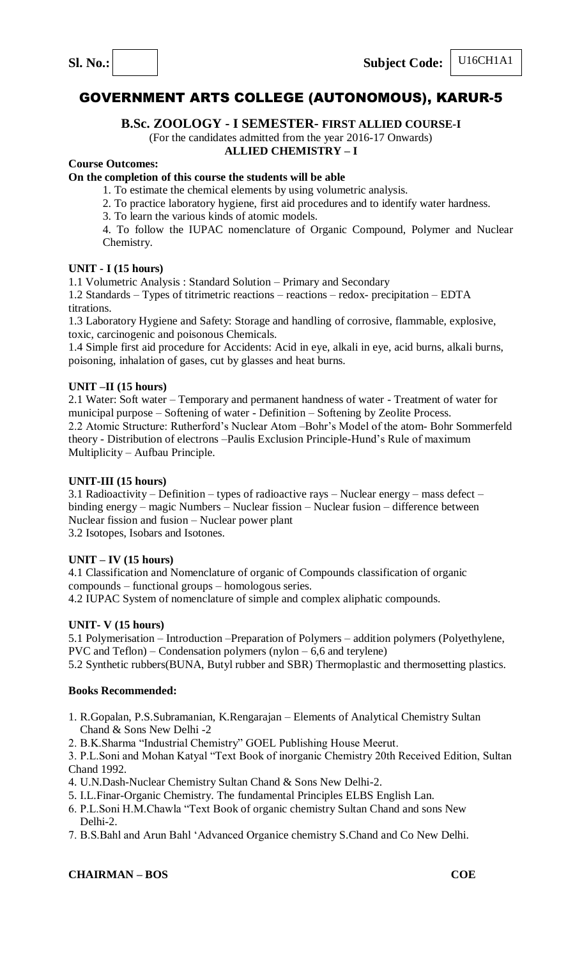

U16CH1A1

# GOVERNMENT ARTS COLLEGE (AUTONOMOUS), KARUR-5

## **B.Sc. ZOOLOGY - I SEMESTER- FIRST ALLIED COURSE-I**

## (For the candidates admitted from the year 2016-17 Onwards)

## **ALLIED CHEMISTRY – I**

## **Course Outcomes:**

## **On the completion of this course the students will be able**

- 1. To estimate the chemical elements by using volumetric analysis.
- 2. To practice laboratory hygiene, first aid procedures and to identify water hardness.
- 3. To learn the various kinds of atomic models.
- 4. To follow the IUPAC nomenclature of Organic Compound, Polymer and Nuclear Chemistry.

#### **UNIT - I (15 hours)**

1.1 Volumetric Analysis : Standard Solution – Primary and Secondary

1.2 Standards – Types of titrimetric reactions – reactions – redox- precipitation – EDTA titrations.

1.3 Laboratory Hygiene and Safety: Storage and handling of corrosive, flammable, explosive, toxic, carcinogenic and poisonous Chemicals.

1.4 Simple first aid procedure for Accidents: Acid in eye, alkali in eye, acid burns, alkali burns, poisoning, inhalation of gases, cut by glasses and heat burns.

#### **UNIT –II (15 hours)**

2.1 Water: Soft water – Temporary and permanent handness of water - Treatment of water for municipal purpose – Softening of water - Definition – Softening by Zeolite Process. 2.2 Atomic Structure: Rutherford's Nuclear Atom –Bohr's Model of the atom- Bohr Sommerfeld theory - Distribution of electrons –Paulis Exclusion Principle-Hund's Rule of maximum Multiplicity – Aufbau Principle.

#### **UNIT-III (15 hours)**

3.1 Radioactivity – Definition – types of radioactive rays – Nuclear energy – mass defect – binding energy – magic Numbers – Nuclear fission – Nuclear fusion – difference between Nuclear fission and fusion – Nuclear power plant 3.2 Isotopes, Isobars and Isotones.

#### **UNIT – IV (15 hours)**

4.1 Classification and Nomenclature of organic of Compounds classification of organic compounds – functional groups – homologous series. 4.2 IUPAC System of nomenclature of simple and complex aliphatic compounds.

#### **UNIT- V (15 hours)**

5.1 Polymerisation – Introduction –Preparation of Polymers – addition polymers (Polyethylene, PVC and Teflon) – Condensation polymers (nylon – 6,6 and terylene)

5.2 Synthetic rubbers(BUNA, Butyl rubber and SBR) Thermoplastic and thermosetting plastics.

#### **Books Recommended:**

- 1. R.Gopalan, P.S.Subramanian, K.Rengarajan Elements of Analytical Chemistry Sultan Chand & Sons New Delhi -2
- 2. B.K.Sharma "Industrial Chemistry" GOEL Publishing House Meerut.

3. P.L.Soni and Mohan Katyal "Text Book of inorganic Chemistry 20th Received Edition, Sultan Chand 1992.

- 4. U.N.Dash-Nuclear Chemistry Sultan Chand & Sons New Delhi-2.
- 5. I.L.Finar-Organic Chemistry. The fundamental Principles ELBS English Lan.
- 6. P.L.Soni H.M.Chawla "Text Book of organic chemistry Sultan Chand and sons New Delhi-2.
- 7. B.S.Bahl and Arun Bahl 'Advanced Organice chemistry S.Chand and Co New Delhi.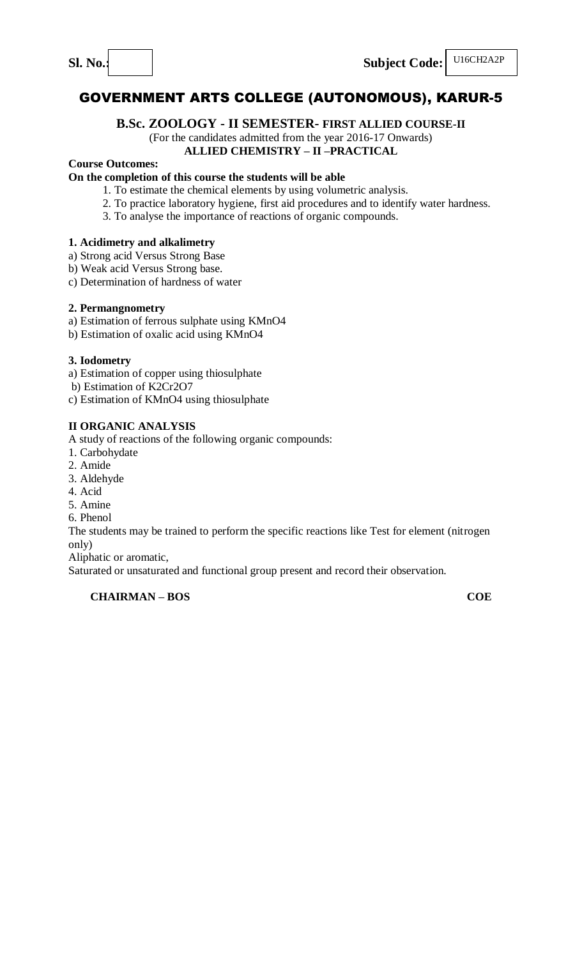## **B.Sc. ZOOLOGY - II SEMESTER- FIRST ALLIED COURSE-II**

# (For the candidates admitted from the year 2016-17 Onwards)

## **ALLIED CHEMISTRY – II –PRACTICAL**

## **Course Outcomes:**

## **On the completion of this course the students will be able**

- 1. To estimate the chemical elements by using volumetric analysis.
- 2. To practice laboratory hygiene, first aid procedures and to identify water hardness.
- 3. To analyse the importance of reactions of organic compounds.

## **1. Acidimetry and alkalimetry**

a) Strong acid Versus Strong Base

- b) Weak acid Versus Strong base.
- c) Determination of hardness of water

## **2. Permangnometry**

- a) Estimation of ferrous sulphate using KMnO4
- b) Estimation of oxalic acid using KMnO4

#### **3. Iodometry**

- a) Estimation of copper using thiosulphate
- b) Estimation of K2Cr2O7
- c) Estimation of KMnO4 using thiosulphate

## **II ORGANIC ANALYSIS**

A study of reactions of the following organic compounds:

- 1. Carbohydate
- 2. Amide
- 3. Aldehyde
- 4. Acid
- 5. Amine
- 6. Phenol

The students may be trained to perform the specific reactions like Test for element (nitrogen only)

Aliphatic or aromatic,

Saturated or unsaturated and functional group present and record their observation.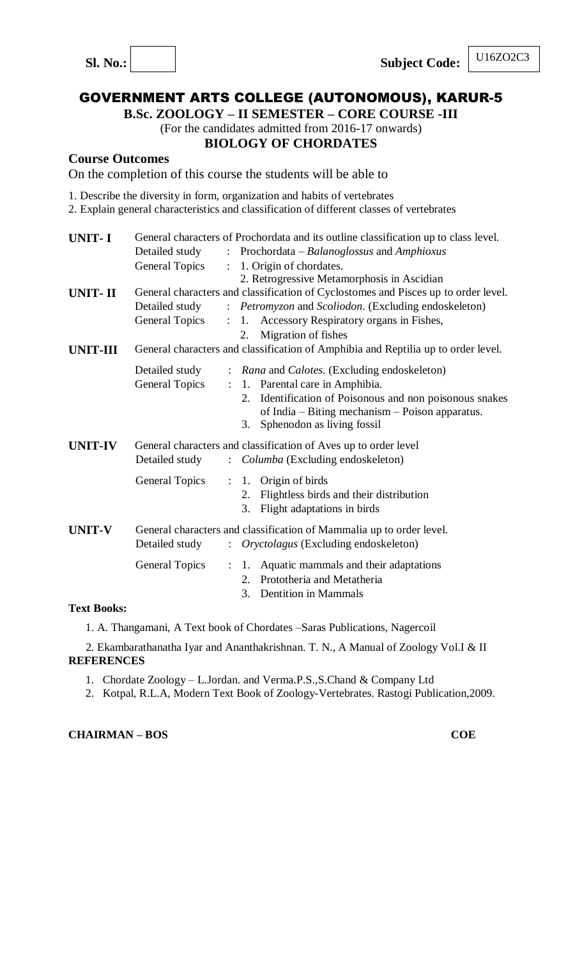U16ZO2C3

# GOVERNMENT ARTS COLLEGE (AUTONOMOUS), KARUR-5

**B.Sc. ZOOLOGY – II SEMESTER – CORE COURSE -III**

(For the candidates admitted from 2016-17 onwards)

## **BIOLOGY OF CHORDATES**

## **Course Outcomes**

On the completion of this course the students will be able to

- 1. Describe the diversity in form, organization and habits of vertebrates
- 2. Explain general characteristics and classification of different classes of vertebrates

| <b>UNIT-I</b>   |                       |                           | General characters of Prochordata and its outline classification up to class level. |
|-----------------|-----------------------|---------------------------|-------------------------------------------------------------------------------------|
|                 | Detailed study        | $\mathbf{L}$              | Prochordata – Balanoglossus and Amphioxus                                           |
|                 | <b>General Topics</b> | $\ddot{\cdot}$            | 1. Origin of chordates.                                                             |
|                 |                       |                           | 2. Retrogressive Metamorphosis in Ascidian                                          |
| <b>UNIT-II</b>  |                       |                           | General characters and classification of Cyclostomes and Pisces up to order level.  |
|                 | Detailed study        | $\mathbb{R}^{\mathbb{Z}}$ | Petromyzon and Scoliodon. (Excluding endoskeleton)                                  |
|                 | <b>General Topics</b> | $\ddot{\cdot}$            | 1. Accessory Respiratory organs in Fishes,                                          |
|                 |                       |                           | Migration of fishes<br>2.                                                           |
| <b>UNIT-III</b> |                       |                           | General characters and classification of Amphibia and Reptilia up to order level.   |
|                 | Detailed study        |                           | : Rana and Calotes. (Excluding endoskeleton)                                        |
|                 | <b>General Topics</b> | $\ddot{\phantom{a}}$      | 1. Parental care in Amphibia.                                                       |
|                 |                       |                           | Identification of Poisonous and non poisonous snakes<br>2.                          |
|                 |                       |                           | of India - Biting mechanism - Poison apparatus.                                     |
|                 |                       |                           | Sphenodon as living fossil<br>3.                                                    |
| <b>UNIT-IV</b>  |                       |                           | General characters and classification of Aves up to order level                     |
|                 | Detailed study        |                           | : <i>Columba</i> (Excluding endoskeleton)                                           |
|                 | <b>General Topics</b> | $\ddot{\cdot}$            | Origin of birds<br>1.                                                               |
|                 |                       |                           | Flightless birds and their distribution<br>2.                                       |
|                 |                       |                           | Flight adaptations in birds<br>3.                                                   |
| <b>UNIT-V</b>   |                       |                           | General characters and classification of Mammalia up to order level.                |
|                 | Detailed study        | $\mathbb{R}^{\mathbb{Z}}$ | Oryctolagus (Excluding endoskeleton)                                                |
|                 | <b>General Topics</b> | $\ddot{\ddot{}}$ .        | Aquatic mammals and their adaptations<br>1.                                         |
|                 |                       |                           | Prototheria and Metatheria<br>$2_{\cdot}$                                           |
|                 |                       |                           | <b>Dentition in Mammals</b><br>3.                                                   |
| Text Rooks:     |                       |                           |                                                                                     |

#### **Text Books:**

1. A. Thangamani, A Text book of Chordates –Saras Publications, Nagercoil

 2. Ekambarathanatha Iyar and Ananthakrishnan. T. N., A Manual of Zoology Vol.I & II **REFERENCES**

- 1. Chordate Zoology L.Jordan. and Verma.P.S.,S.Chand & Company Ltd
- 2. Kotpal, R.L.A, Modern Text Book of Zoology-Vertebrates. Rastogi Publication,2009.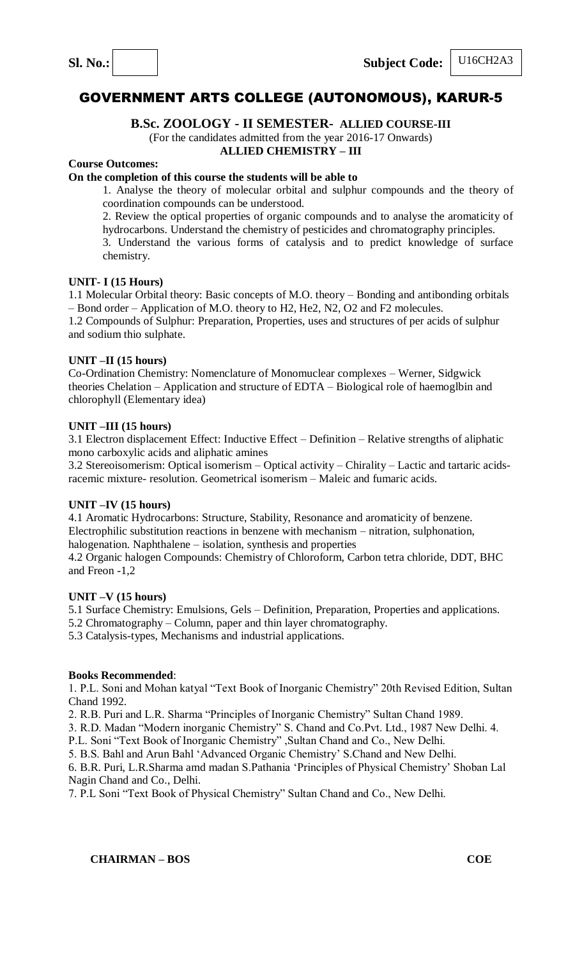U16CH2A3

# GOVERNMENT ARTS COLLEGE (AUTONOMOUS), KARUR-5

## **B.Sc. ZOOLOGY - II SEMESTER- ALLIED COURSE-III**

(For the candidates admitted from the year 2016-17 Onwards)

## **ALLIED CHEMISTRY – III**

## **Course Outcomes:**

## **On the completion of this course the students will be able to**

1. Analyse the theory of molecular orbital and sulphur compounds and the theory of coordination compounds can be understood.

2. Review the optical properties of organic compounds and to analyse the aromaticity of hydrocarbons. Understand the chemistry of pesticides and chromatography principles.

3. Understand the various forms of catalysis and to predict knowledge of surface chemistry.

## **UNIT- I (15 Hours)**

1.1 Molecular Orbital theory: Basic concepts of M.O. theory – Bonding and antibonding orbitals – Bond order – Application of M.O. theory to H2, He2, N2, O2 and F2 molecules.

1.2 Compounds of Sulphur: Preparation, Properties, uses and structures of per acids of sulphur and sodium thio sulphate.

## **UNIT –II (15 hours)**

Co-Ordination Chemistry: Nomenclature of Monomuclear complexes – Werner, Sidgwick theories Chelation – Application and structure of EDTA – Biological role of haemoglbin and chlorophyll (Elementary idea)

## **UNIT –III (15 hours)**

3.1 Electron displacement Effect: Inductive Effect – Definition – Relative strengths of aliphatic mono carboxylic acids and aliphatic amines

3.2 Stereoisomerism: Optical isomerism – Optical activity – Chirality – Lactic and tartaric acidsracemic mixture- resolution. Geometrical isomerism – Maleic and fumaric acids.

#### **UNIT –IV (15 hours)**

4.1 Aromatic Hydrocarbons: Structure, Stability, Resonance and aromaticity of benzene. Electrophilic substitution reactions in benzene with mechanism – nitration, sulphonation, halogenation. Naphthalene – isolation, synthesis and properties

4.2 Organic halogen Compounds: Chemistry of Chloroform, Carbon tetra chloride, DDT, BHC and Freon -1,2

#### **UNIT –V (15 hours)**

5.1 Surface Chemistry: Emulsions, Gels – Definition, Preparation, Properties and applications.

5.2 Chromatography – Column, paper and thin layer chromatography.

5.3 Catalysis-types, Mechanisms and industrial applications.

## **Books Recommended**:

1. P.L. Soni and Mohan katyal "Text Book of Inorganic Chemistry" 20th Revised Edition, Sultan Chand 1992.

2. R.B. Puri and L.R. Sharma "Principles of Inorganic Chemistry" Sultan Chand 1989.

3. R.D. Madan "Modern inorganic Chemistry" S. Chand and Co.Pvt. Ltd., 1987 New Delhi. 4.

P.L. Soni "Text Book of Inorganic Chemistry" ,Sultan Chand and Co., New Delhi.

5. B.S. Bahl and Arun Bahl 'Advanced Organic Chemistry' S.Chand and New Delhi.

6. B.R. Puri, L.R.Sharma amd madan S.Pathania 'Principles of Physical Chemistry' Shoban Lal Nagin Chand and Co., Delhi.

7. P.L Soni "Text Book of Physical Chemistry" Sultan Chand and Co., New Delhi.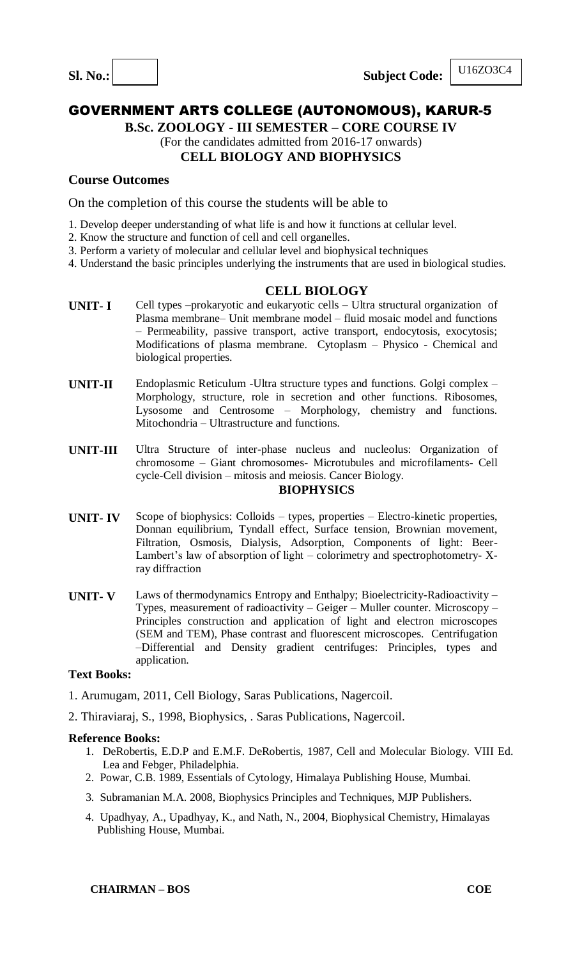## U16ZO3C4

# GOVERNMENT ARTS COLLEGE (AUTONOMOUS), KARUR-5

**B.Sc. ZOOLOGY - III SEMESTER – CORE COURSE IV**

# (For the candidates admitted from 2016-17 onwards)

## **CELL BIOLOGY AND BIOPHYSICS**

## **Course Outcomes**

On the completion of this course the students will be able to

- 1. Develop deeper understanding of what life is and how it functions at cellular level.
- 2. Know the structure and function of cell and cell organelles.
- 3. Perform a variety of molecular and cellular level and biophysical techniques
- 4. Understand the basic principles underlying the instruments that are used in biological studies.

## **CELL BIOLOGY**

- **UNIT- I** Cell types –prokaryotic and eukaryotic cells Ultra structural organization of Plasma membrane– Unit membrane model – fluid mosaic model and functions – Permeability, passive transport, active transport, endocytosis, exocytosis; Modifications of plasma membrane. Cytoplasm – Physico - Chemical and biological properties.
- **UNIT-II** Endoplasmic Reticulum -Ultra structure types and functions. Golgi complex Morphology, structure, role in secretion and other functions. Ribosomes, Lysosome and Centrosome – Morphology, chemistry and functions. Mitochondria – Ultrastructure and functions.
- **UNIT-III** Ultra Structure of inter-phase nucleus and nucleolus: Organization of chromosome – Giant chromosomes- Microtubules and microfilaments- Cell cycle-Cell division – mitosis and meiosis. Cancer Biology. **BIOPHYSICS**
- **UNIT- IV** Scope of biophysics: Colloids types, properties Electro-kinetic properties, Donnan equilibrium, Tyndall effect, Surface tension, Brownian movement, Filtration, Osmosis, Dialysis, Adsorption, Components of light: Beer-Lambert's law of absorption of light – colorimetry and spectrophotometry- Xray diffraction
- **UNIT- V** Laws of thermodynamics Entropy and Enthalpy; Bioelectricity-Radioactivity Types, measurement of radioactivity – Geiger – Muller counter. Microscopy – Principles construction and application of light and electron microscopes (SEM and TEM), Phase contrast and fluorescent microscopes. Centrifugation –Differential and Density gradient centrifuges: Principles, types and application.

## **Text Books:**

- 1. Arumugam, 2011, Cell Biology, Saras Publications, Nagercoil.
- 2. Thiraviaraj, S., 1998, Biophysics, . Saras Publications, Nagercoil.

- 1. DeRobertis, E.D.P and E.M.F. DeRobertis, 1987, Cell and Molecular Biology. VIII Ed. Lea and Febger, Philadelphia.
- 2. Powar, C.B. 1989, Essentials of Cytology, Himalaya Publishing House, Mumbai.
- 3. Subramanian M.A. 2008, Biophysics Principles and Techniques, MJP Publishers.
- 4. Upadhyay, A., Upadhyay, K., and Nath, N., 2004, Biophysical Chemistry, Himalayas Publishing House, Mumbai.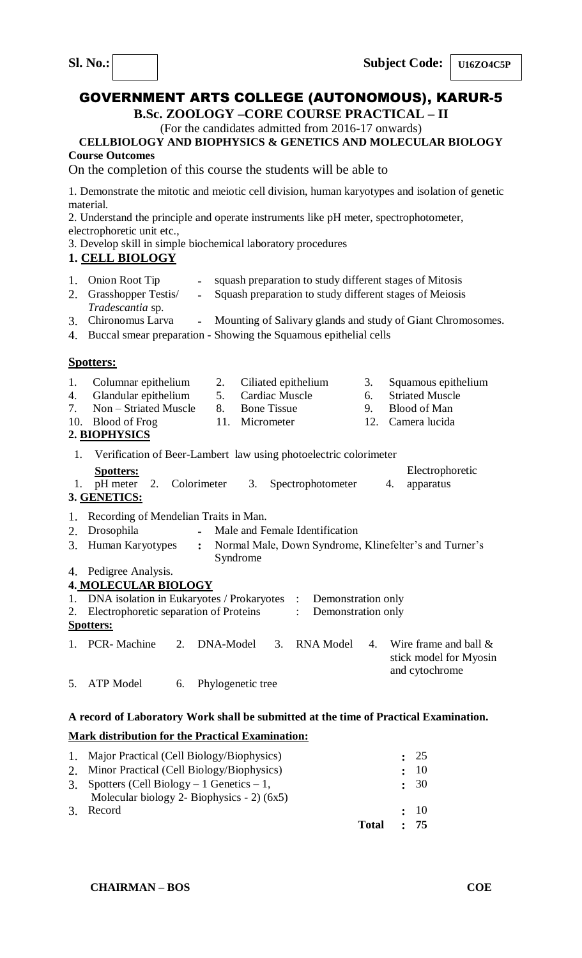**B.Sc. ZOOLOGY –CORE COURSE PRACTICAL – II**

## (For the candidates admitted from 2016-17 onwards) **CELLBIOLOGY AND BIOPHYSICS & GENETICS AND MOLECULAR BIOLOGY**

**Course Outcomes**

On the completion of this course the students will be able to

1. Demonstrate the mitotic and meiotic cell division, human karyotypes and isolation of genetic material.

2. Understand the principle and operate instruments like pH meter, spectrophotometer, electrophoretic unit etc.,

3. Develop skill in simple biochemical laboratory procedures

## **1. CELL BIOLOGY**

- 1. Onion Root Tip **-** squash preparation to study different stages of Mitosis 2. Grasshopper Testis/ **-** Squash preparation to study different stages of Meiosis
	- *Tradescantia* sp.
- 3. Chironomus Larva **-** Mounting of Salivary glands and study of Giant Chromosomes.
- 4. Buccal smear preparation Showing the Squamous epithelial cells

## **Spotters:**

1. Columnar epithelium 2. Ciliated epithelium 3. Squamous epithelium 4. Glandular epithelium 5. Cardiac Muscle 6. Striated Muscle 7. Non – Striated Muscle 8. Bone Tissue 9. Blood of Man 10. Blood of Frog 11. Micrometer 12. Camera lucida 10. Blood of Frog 11. Micrometer 12. Camera lucida **2. BIOPHYSICS** 1. Verification of Beer-Lambert law using photoelectric colorimeter 1. **Spotters:** pH meter 2. Colorimeter 3. Spectrophotometer 4. Electrophoretic apparatus **3. GENETICS:** 1. Recording of Mendelian Traits in Man. 2. Drosophila **-** Male and Female Identification 3. Human Karyotypes **:** Normal Male, Down Syndrome, Klinefelter's and Turner's Syndrome 4. Pedigree Analysis. **4. MOLECULAR BIOLOGY** 1. DNA isolation in Eukaryotes / Prokaryotes : Demonstration only 2. Electrophoretic separation of Proteins : Demonstration only **Spotters:** 1. PCR- Machine 2. DNA-Model 3. RNA Model 4. Wire frame and ball & stick model for Myosin and cytochrome 5. ATP Model 6. Phylogenetic tree

## **A record of Laboratory Work shall be submitted at the time of Practical Examination. Mark distribution for the Practical Examination:**

|                                              |              | $\div$ 75 |
|----------------------------------------------|--------------|-----------|
| 3. Record                                    |              | $\div$ 10 |
| Molecular biology 2- Biophysics - $2)(6x5)$  |              |           |
| 3. Spotters (Cell Biology – 1 Genetics – 1,  |              | : 30      |
| 2. Minor Practical (Cell Biology/Biophysics) |              | $\div$ 10 |
| 1. Major Practical (Cell Biology/Biophysics) |              | $\div$ 25 |
|                                              | <b>Total</b> |           |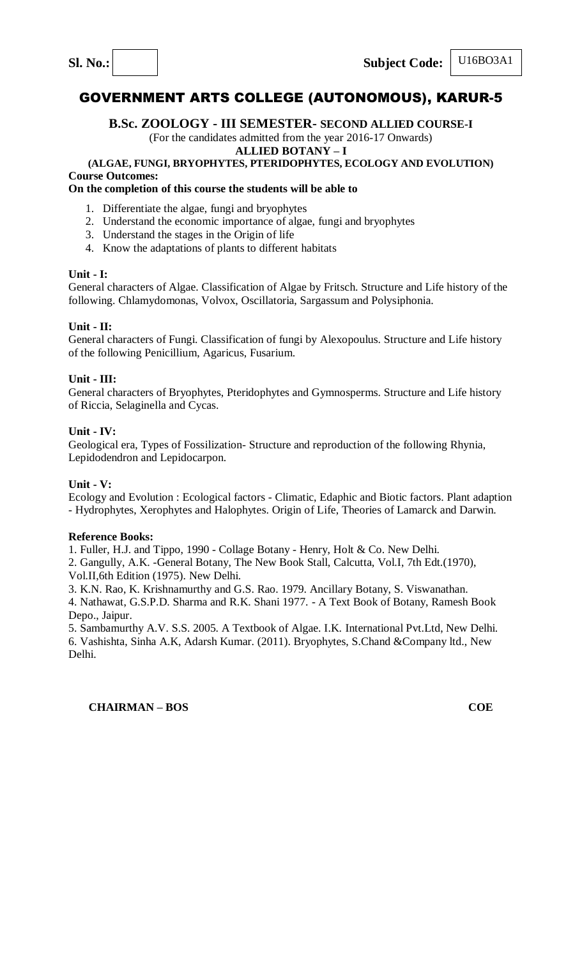## **B.Sc. ZOOLOGY - III SEMESTER- SECOND ALLIED COURSE-I**

(For the candidates admitted from the year 2016-17 Onwards)

#### **ALLIED BOTANY – I**

#### **(ALGAE, FUNGI, BRYOPHYTES, PTERIDOPHYTES, ECOLOGY AND EVOLUTION) Course Outcomes:**

## **On the completion of this course the students will be able to**

- 1. Differentiate the algae, fungi and bryophytes
- 2. Understand the economic importance of algae, fungi and bryophytes
- 3. Understand the stages in the Origin of life
- 4. Know the adaptations of plants to different habitats

## **Unit - I:**

General characters of Algae. Classification of Algae by Fritsch. Structure and Life history of the following. Chlamydomonas, Volvox, Oscillatoria, Sargassum and Polysiphonia.

## **Unit - II:**

General characters of Fungi. Classification of fungi by Alexopoulus. Structure and Life history of the following Penicillium, Agaricus, Fusarium.

## **Unit - III:**

General characters of Bryophytes, Pteridophytes and Gymnosperms. Structure and Life history of Riccia, Selaginella and Cycas.

## **Unit - IV:**

Geological era, Types of Fossilization- Structure and reproduction of the following Rhynia, Lepidodendron and Lepidocarpon.

## **Unit - V:**

Ecology and Evolution : Ecological factors - Climatic, Edaphic and Biotic factors. Plant adaption - Hydrophytes, Xerophytes and Halophytes. Origin of Life, Theories of Lamarck and Darwin.

#### **Reference Books:**

1. Fuller, H.J. and Tippo, 1990 - Collage Botany - Henry, Holt & Co. New Delhi.

2. Gangully, A.K. -General Botany, The New Book Stall, Calcutta, Vol.I, 7th Edt.(1970), Vol.II,6th Edition (1975). New Delhi.

3. K.N. Rao, K. Krishnamurthy and G.S. Rao. 1979. Ancillary Botany, S. Viswanathan.

4. Nathawat, G.S.P.D. Sharma and R.K. Shani 1977. - A Text Book of Botany, Ramesh Book Depo., Jaipur.

5. Sambamurthy A.V. S.S. 2005. A Textbook of Algae. I.K. International Pvt.Ltd, New Delhi. 6. Vashishta, Sinha A.K, Adarsh Kumar. (2011). Bryophytes, S.Chand &Company ltd., New Delhi.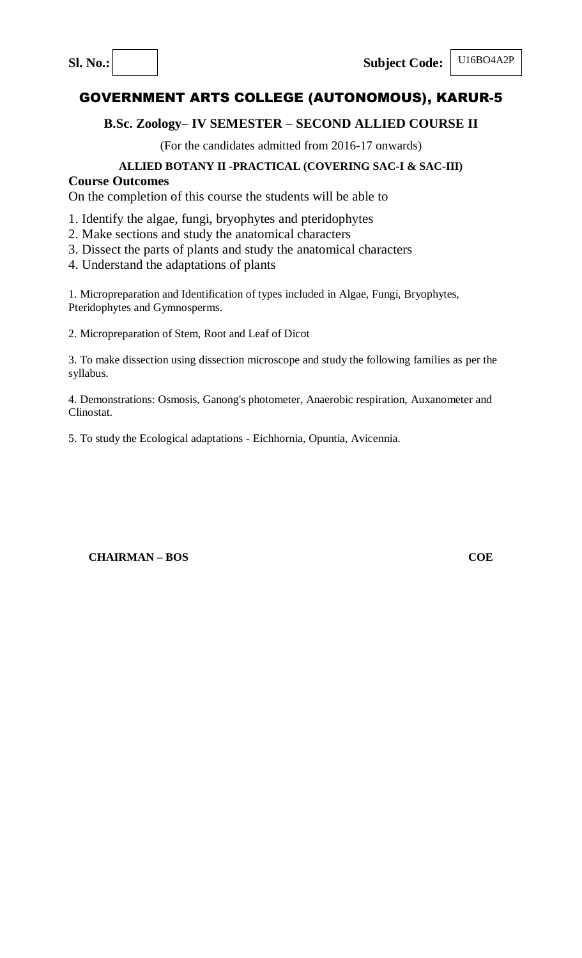U16BO4A2P

# GOVERNMENT ARTS COLLEGE (AUTONOMOUS), KARUR-5

## **B.Sc. Zoology– IV SEMESTER – SECOND ALLIED COURSE II**

(For the candidates admitted from 2016-17 onwards)

## **ALLIED BOTANY II -PRACTICAL (COVERING SAC-I & SAC-III)**

## **Course Outcomes**

On the completion of this course the students will be able to

- 1. Identify the algae, fungi, bryophytes and pteridophytes
- 2. Make sections and study the anatomical characters
- 3. Dissect the parts of plants and study the anatomical characters
- 4. Understand the adaptations of plants

1. Micropreparation and Identification of types included in Algae, Fungi, Bryophytes, Pteridophytes and Gymnosperms.

2. Micropreparation of Stem, Root and Leaf of Dicot

3. To make dissection using dissection microscope and study the following families as per the syllabus.

4. Demonstrations: Osmosis, Ganong's photometer, Anaerobic respiration, Auxanometer and Clinostat.

5. To study the Ecological adaptations - Eichhornia, Opuntia, Avicennia.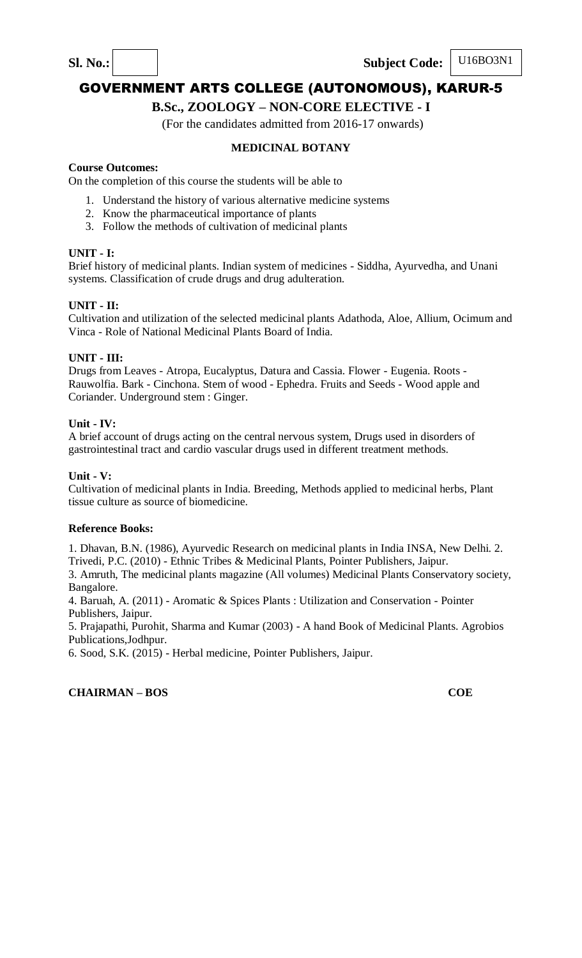Sl. No.: Subject Code:

# GOVERNMENT ARTS COLLEGE (AUTONOMOUS), KARUR-5

## **B.Sc., ZOOLOGY – NON-CORE ELECTIVE - I**

(For the candidates admitted from 2016-17 onwards)

## **MEDICINAL BOTANY**

#### **Course Outcomes:**

On the completion of this course the students will be able to

- 1. Understand the history of various alternative medicine systems
- 2. Know the pharmaceutical importance of plants
- 3. Follow the methods of cultivation of medicinal plants

#### **UNIT - I:**

Brief history of medicinal plants. Indian system of medicines - Siddha, Ayurvedha, and Unani systems. Classification of crude drugs and drug adulteration.

#### **UNIT - II:**

Cultivation and utilization of the selected medicinal plants Adathoda, Aloe, Allium, Ocimum and Vinca - Role of National Medicinal Plants Board of India.

#### **UNIT - III:**

Drugs from Leaves - Atropa, Eucalyptus, Datura and Cassia. Flower - Eugenia. Roots - Rauwolfia. Bark - Cinchona. Stem of wood - Ephedra. Fruits and Seeds - Wood apple and Coriander. Underground stem : Ginger.

#### **Unit - IV:**

A brief account of drugs acting on the central nervous system, Drugs used in disorders of gastrointestinal tract and cardio vascular drugs used in different treatment methods.

#### **Unit - V:**

Cultivation of medicinal plants in India. Breeding, Methods applied to medicinal herbs, Plant tissue culture as source of biomedicine.

#### **Reference Books:**

1. Dhavan, B.N. (1986), Ayurvedic Research on medicinal plants in India INSA, New Delhi. 2. Trivedi, P.C. (2010) - Ethnic Tribes & Medicinal Plants, Pointer Publishers, Jaipur.

3. Amruth, The medicinal plants magazine (All volumes) Medicinal Plants Conservatory society, Bangalore.

4. Baruah, A. (2011) - Aromatic & Spices Plants : Utilization and Conservation - Pointer Publishers, Jaipur.

5. Prajapathi, Purohit, Sharma and Kumar (2003) - A hand Book of Medicinal Plants. Agrobios Publications,Jodhpur.

6. Sood, S.K. (2015) - Herbal medicine, Pointer Publishers, Jaipur.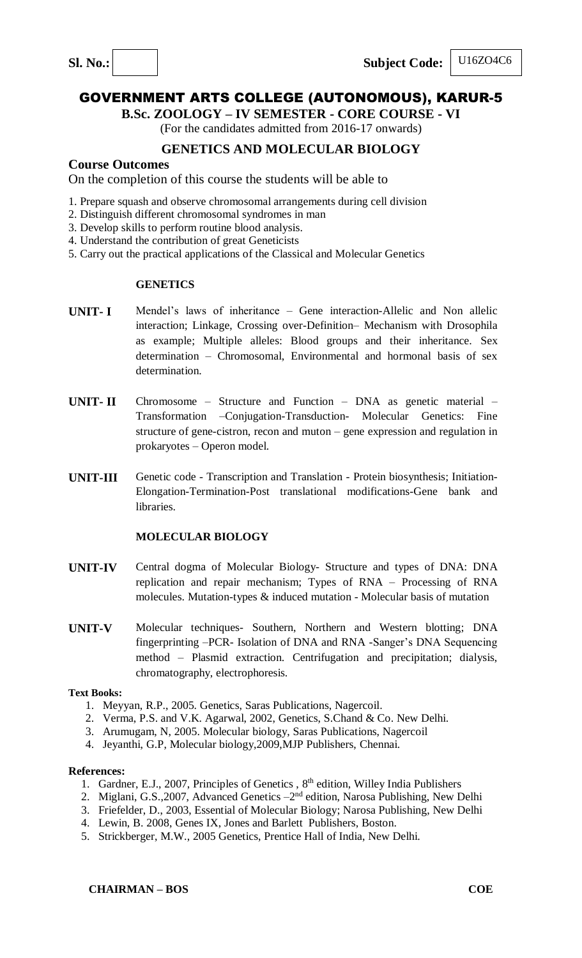Sl. No.: Subject Code:

## U16ZO4C6

# GOVERNMENT ARTS COLLEGE (AUTONOMOUS), KARUR-5

**B.Sc. ZOOLOGY – IV SEMESTER - CORE COURSE - VI**

(For the candidates admitted from 2016-17 onwards)

## **GENETICS AND MOLECULAR BIOLOGY**

## **Course Outcomes**

On the completion of this course the students will be able to

- 1. Prepare squash and observe chromosomal arrangements during cell division
- 2. Distinguish different chromosomal syndromes in man
- 3. Develop skills to perform routine blood analysis.
- 4. Understand the contribution of great Geneticists
- 5. Carry out the practical applications of the Classical and Molecular Genetics

#### **GENETICS**

- **UNIT- I** Mendel's laws of inheritance Gene interaction-Allelic and Non allelic interaction; Linkage, Crossing over-Definition– Mechanism with Drosophila as example; Multiple alleles: Blood groups and their inheritance. Sex determination – Chromosomal, Environmental and hormonal basis of sex determination.
- **UNIT- II** Chromosome Structure and Function DNA as genetic material Transformation –Conjugation-Transduction- Molecular Genetics: Fine structure of gene-cistron, recon and muton – gene expression and regulation in prokaryotes – Operon model.
- **UNIT-III** Genetic code Transcription and Translation Protein biosynthesis; Initiation-Elongation-Termination-Post translational modifications-Gene bank and libraries.

## **MOLECULAR BIOLOGY**

- **UNIT-IV** Central dogma of Molecular Biology- Structure and types of DNA: DNA replication and repair mechanism; Types of RNA – Processing of RNA molecules. Mutation-types & induced mutation - Molecular basis of mutation
- **UNIT-V** Molecular techniques- Southern, Northern and Western blotting; DNA fingerprinting –PCR- Isolation of DNA and RNA -Sanger's DNA Sequencing method – Plasmid extraction. Centrifugation and precipitation; dialysis, chromatography, electrophoresis.

#### **Text Books:**

- 1. Meyyan, R.P., 2005. Genetics, Saras Publications, Nagercoil.
- 2. Verma, P.S. and V.K. Agarwal, 2002, Genetics, S.Chand & Co. New Delhi.
- 3. Arumugam, N, 2005. Molecular biology, Saras Publications, Nagercoil
- 4. Jeyanthi, G.P, Molecular biology,2009,MJP Publishers, Chennai.

#### **References:**

- 1. Gardner, E.J., 2007, Principles of Genetics, 8<sup>th</sup> edition, Willey India Publishers
- 2. Miglani, G.S., 2007, Advanced Genetics 2<sup>nd</sup> edition, Narosa Publishing, New Delhi
- 3. Friefelder, D., 2003, Essential of Molecular Biology; Narosa Publishing, New Delhi
- 4. Lewin, B. 2008, Genes IX, Jones and Barlett Publishers, Boston.
- 5. Strickberger, M.W., 2005 Genetics, Prentice Hall of India, New Delhi.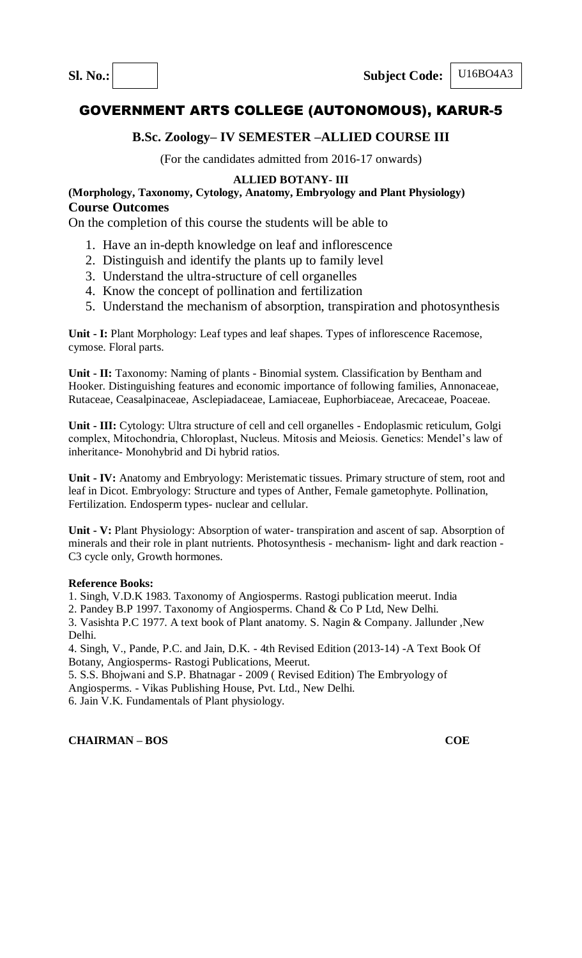U16BO4A3

# GOVERNMENT ARTS COLLEGE (AUTONOMOUS), KARUR-5

## **B.Sc. Zoology– IV SEMESTER –ALLIED COURSE III**

(For the candidates admitted from 2016-17 onwards)

## **ALLIED BOTANY- III**

**(Morphology, Taxonomy, Cytology, Anatomy, Embryology and Plant Physiology) Course Outcomes**

On the completion of this course the students will be able to

- 1. Have an in-depth knowledge on leaf and inflorescence
- 2. Distinguish and identify the plants up to family level
- 3. Understand the ultra-structure of cell organelles
- 4. Know the concept of pollination and fertilization
- 5. Understand the mechanism of absorption, transpiration and photosynthesis

**Unit - I:** Plant Morphology: Leaf types and leaf shapes. Types of inflorescence Racemose, cymose. Floral parts.

**Unit - II:** Taxonomy: Naming of plants - Binomial system. Classification by Bentham and Hooker. Distinguishing features and economic importance of following families, Annonaceae, Rutaceae, Ceasalpinaceae, Asclepiadaceae, Lamiaceae, Euphorbiaceae, Arecaceae, Poaceae.

**Unit - III:** Cytology: Ultra structure of cell and cell organelles - Endoplasmic reticulum, Golgi complex, Mitochondria, Chloroplast, Nucleus. Mitosis and Meiosis. Genetics: Mendel's law of inheritance- Monohybrid and Di hybrid ratios.

**Unit - IV:** Anatomy and Embryology: Meristematic tissues. Primary structure of stem, root and leaf in Dicot. Embryology: Structure and types of Anther, Female gametophyte. Pollination, Fertilization. Endosperm types- nuclear and cellular.

**Unit - V:** Plant Physiology: Absorption of water- transpiration and ascent of sap. Absorption of minerals and their role in plant nutrients. Photosynthesis - mechanism- light and dark reaction - C3 cycle only, Growth hormones.

#### **Reference Books:**

1. Singh, V.D.K 1983. Taxonomy of Angiosperms. Rastogi publication meerut. India

2. Pandey B.P 1997. Taxonomy of Angiosperms. Chand & Co P Ltd, New Delhi.

3. Vasishta P.C 1977. A text book of Plant anatomy. S. Nagin & Company. Jallunder ,New Delhi.

4. Singh, V., Pande, P.C. and Jain, D.K. - 4th Revised Edition (2013-14) -A Text Book Of Botany, Angiosperms- Rastogi Publications, Meerut.

5. S.S. Bhojwani and S.P. Bhatnagar - 2009 ( Revised Edition) The Embryology of

Angiosperms. - Vikas Publishing House, Pvt. Ltd., New Delhi.

6. Jain V.K. Fundamentals of Plant physiology.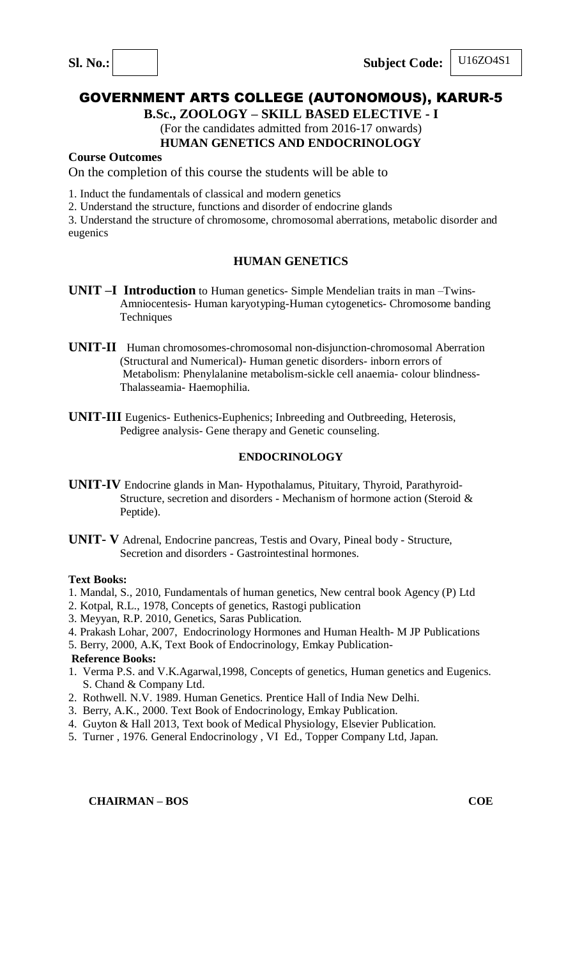**B.Sc., ZOOLOGY – SKILL BASED ELECTIVE - I** (For the candidates admitted from 2016-17 onwards)

## **HUMAN GENETICS AND ENDOCRINOLOGY**

## **Course Outcomes**

On the completion of this course the students will be able to

1. Induct the fundamentals of classical and modern genetics

2. Understand the structure, functions and disorder of endocrine glands

3. Understand the structure of chromosome, chromosomal aberrations, metabolic disorder and eugenics

## **HUMAN GENETICS**

- **UNIT –I Introduction** to Human genetics- Simple Mendelian traits in man –Twins- Amniocentesis- Human karyotyping-Human cytogenetics- Chromosome banding **Techniques**
- **UNIT-II** Human chromosomes-chromosomal non-disjunction-chromosomal Aberration (Structural and Numerical)- Human genetic disorders- inborn errors of Metabolism: Phenylalanine metabolism-sickle cell anaemia- colour blindness- Thalasseamia- Haemophilia.
- **UNIT-III** Eugenics- Euthenics-Euphenics; Inbreeding and Outbreeding, Heterosis, Pedigree analysis- Gene therapy and Genetic counseling.

## **ENDOCRINOLOGY**

- **UNIT-IV** Endocrine glands in Man- Hypothalamus, Pituitary, Thyroid, Parathyroid- Structure, secretion and disorders - Mechanism of hormone action (Steroid & Peptide).
- **UNIT- V** Adrenal, Endocrine pancreas, Testis and Ovary, Pineal body Structure, Secretion and disorders - Gastrointestinal hormones.

#### **Text Books:**

- 1. Mandal, S., 2010, Fundamentals of human genetics, New central book Agency (P) Ltd
- 2. Kotpal, R.L., 1978, Concepts of genetics, Rastogi publication
- 3. Meyyan, R.P. 2010, Genetics, Saras Publication.
- 4. Prakash Lohar, 2007, Endocrinology Hormones and Human Health- M JP Publications

5. Berry, 2000, A.K, Text Book of Endocrinology, Emkay Publication-

#### **Reference Books:**

- 1. Verma P.S. and V.K.Agarwal,1998, Concepts of genetics, Human genetics and Eugenics. S. Chand & Company Ltd.
- 2. Rothwell. N.V. 1989. Human Genetics. Prentice Hall of India New Delhi.
- 3. Berry, A.K., 2000. Text Book of Endocrinology, Emkay Publication.
- 4. Guyton & Hall 2013, Text book of Medical Physiology, Elsevier Publication.
- 5. Turner , 1976. General Endocrinology , VI Ed., Topper Company Ltd, Japan.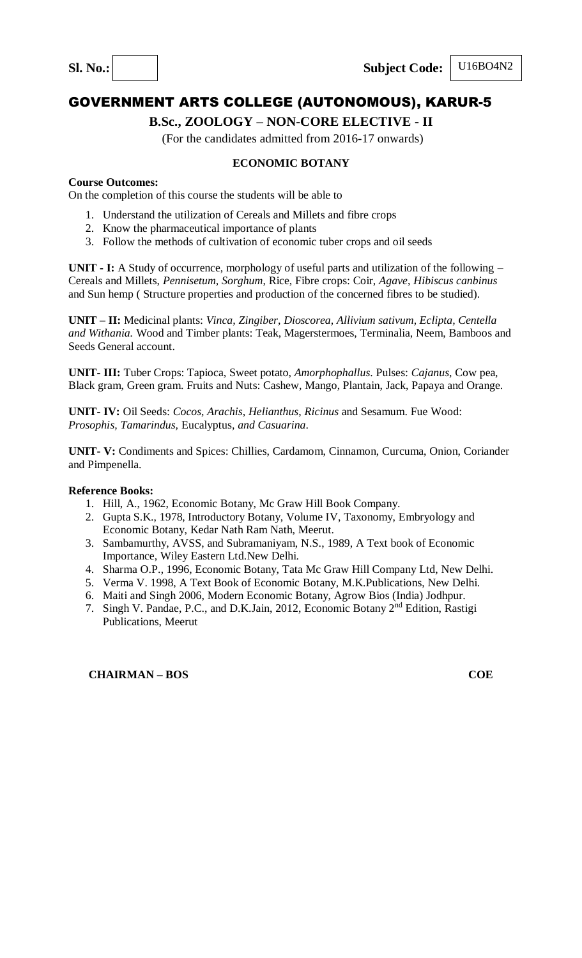## **B.Sc., ZOOLOGY – NON-CORE ELECTIVE - II**

(For the candidates admitted from 2016-17 onwards)

## **ECONOMIC BOTANY**

### **Course Outcomes:**

On the completion of this course the students will be able to

- 1. Understand the utilization of Cereals and Millets and fibre crops
- 2. Know the pharmaceutical importance of plants
- 3. Follow the methods of cultivation of economic tuber crops and oil seeds

**UNIT - I:** A Study of occurrence, morphology of useful parts and utilization of the following – Cereals and Millets, *Pennisetum, Sorghum*, Rice, Fibre crops: Coir, *Agave*, *Hibiscus canbinus* and Sun hemp ( Structure properties and production of the concerned fibres to be studied).

**UNIT – II:** Medicinal plants: *Vinca, Zingiber, Dioscorea, Allivium sativum, Eclipta, Centella and Withania.* Wood and Timber plants: Teak, Magerstermoes, Terminalia, Neem, Bamboos and Seeds General account.

**UNIT- III:** Tuber Crops: Tapioca, Sweet potato, *Amorphophallus*. Pulses: *Cajanus*, Cow pea, Black gram, Green gram. Fruits and Nuts: Cashew, Mango, Plantain, Jack, Papaya and Orange.

**UNIT- IV:** Oil Seeds: *Cocos*, *Arachis*, *Helianthus*, *Ricinus* and Sesamum. Fue Wood: *Prosophis, Tamarindus,* Eucalyptus*, and Casuarina*.

**UNIT- V:** Condiments and Spices: Chillies, Cardamom, Cinnamon, Curcuma, Onion, Coriander and Pimpenella.

#### **Reference Books:**

- 1. Hill, A., 1962, Economic Botany, Mc Graw Hill Book Company.
- 2. Gupta S.K., 1978, Introductory Botany, Volume IV, Taxonomy, Embryology and Economic Botany, Kedar Nath Ram Nath, Meerut.
- 3. Sambamurthy, AVSS, and Subramaniyam, N.S., 1989, A Text book of Economic Importance, Wiley Eastern Ltd.New Delhi.
- 4. Sharma O.P., 1996, Economic Botany, Tata Mc Graw Hill Company Ltd, New Delhi.
- 5. Verma V. 1998, A Text Book of Economic Botany, M.K.Publications, New Delhi.
- 6. Maiti and Singh 2006, Modern Economic Botany, Agrow Bios (India) Jodhpur.
- 7. Singh V. Pandae, P.C., and D.K.Jain, 2012, Economic Botany 2nd Edition, Rastigi Publications, Meerut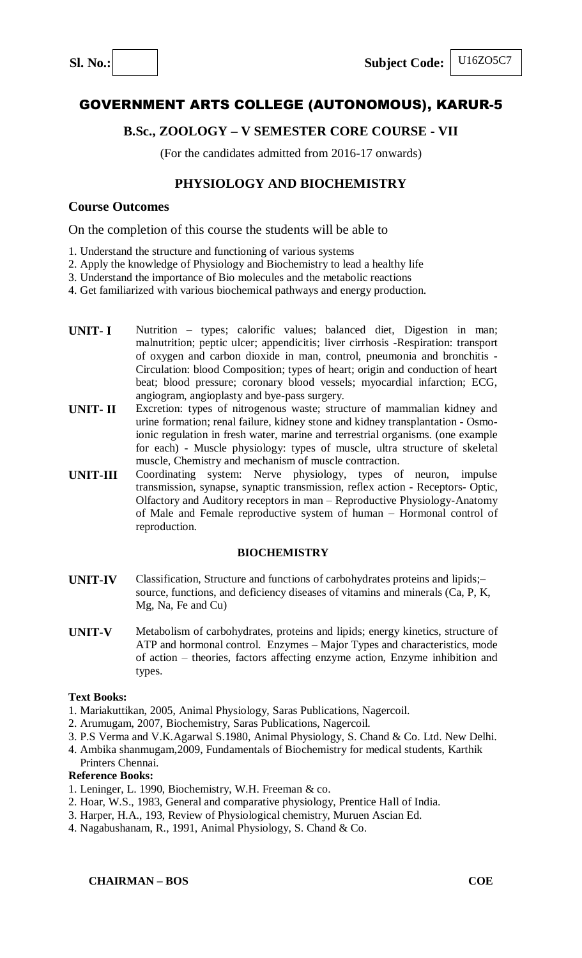## **B.Sc., ZOOLOGY – V SEMESTER CORE COURSE - VII**

(For the candidates admitted from 2016-17 onwards)

## **PHYSIOLOGY AND BIOCHEMISTRY**

## **Course Outcomes**

On the completion of this course the students will be able to

- 1. Understand the structure and functioning of various systems
- 2. Apply the knowledge of Physiology and Biochemistry to lead a healthy life
- 3. Understand the importance of Bio molecules and the metabolic reactions
- 4. Get familiarized with various biochemical pathways and energy production.
- **UNIT- I** Nutrition types; calorific values; balanced diet, Digestion in man; malnutrition; peptic ulcer; appendicitis; liver cirrhosis -Respiration: transport of oxygen and carbon dioxide in man, control, pneumonia and bronchitis - Circulation: blood Composition; types of heart; origin and conduction of heart beat; blood pressure; coronary blood vessels; myocardial infarction; ECG, angiogram, angioplasty and bye-pass surgery.
- **UNIT- II** Excretion: types of nitrogenous waste; structure of mammalian kidney and urine formation; renal failure, kidney stone and kidney transplantation - Osmoionic regulation in fresh water, marine and terrestrial organisms. (one example for each) - Muscle physiology: types of muscle, ultra structure of skeletal muscle, Chemistry and mechanism of muscle contraction.
- **UNIT-III** Coordinating system: Nerve physiology, types of neuron, impulse transmission, synapse, synaptic transmission, reflex action - Receptors- Optic, Olfactory and Auditory receptors in man – Reproductive Physiology-Anatomy of Male and Female reproductive system of human – Hormonal control of reproduction.

#### **BIOCHEMISTRY**

- **UNIT-IV** Classification, Structure and functions of carbohydrates proteins and lipids;– source, functions, and deficiency diseases of vitamins and minerals (Ca, P, K, Mg, Na, Fe and Cu)
- **UNIT-V** Metabolism of carbohydrates, proteins and lipids; energy kinetics, structure of ATP and hormonal control. Enzymes – Major Types and characteristics, mode of action – theories, factors affecting enzyme action, Enzyme inhibition and types.

#### **Text Books:**

- 1. Mariakuttikan, 2005, Animal Physiology, Saras Publications, Nagercoil.
- 2. Arumugam, 2007, Biochemistry, Saras Publications, Nagercoil.
- 3. P.S Verma and V.K.Agarwal S.1980, Animal Physiology, S. Chand & Co. Ltd. New Delhi.
- 4. Ambika shanmugam,2009, Fundamentals of Biochemistry for medical students, Karthik

#### Printers Chennai.

- 1. Leninger, L. 1990, Biochemistry, W.H. Freeman & co.
- 2. Hoar, W.S., 1983, General and comparative physiology, Prentice Hall of India.
- 3. Harper, H.A., 193, Review of Physiological chemistry, Muruen Ascian Ed.
- 4. Nagabushanam, R., 1991, Animal Physiology, S. Chand & Co.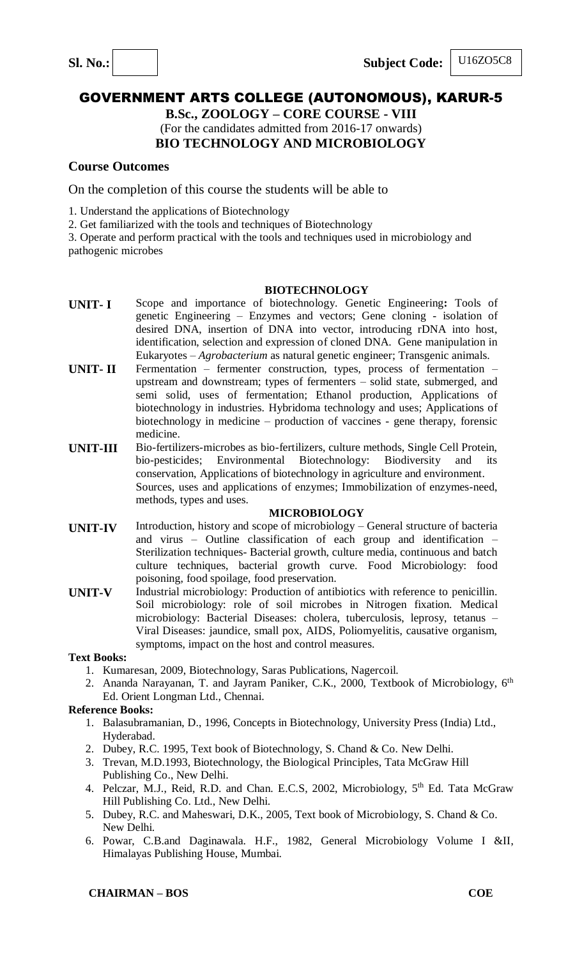## U16ZO5C8

# GOVERNMENT ARTS COLLEGE (AUTONOMOUS), KARUR-5

**B.Sc., ZOOLOGY – CORE COURSE - VIII** (For the candidates admitted from 2016-17 onwards) **BIO TECHNOLOGY AND MICROBIOLOGY**

## **Course Outcomes**

On the completion of this course the students will be able to

1. Understand the applications of Biotechnology

2. Get familiarized with the tools and techniques of Biotechnology

3. Operate and perform practical with the tools and techniques used in microbiology and pathogenic microbes

#### **BIOTECHNOLOGY**

- **UNIT- I** Scope and importance of biotechnology. Genetic Engineering**:** Tools of genetic Engineering – Enzymes and vectors; Gene cloning - isolation of desired DNA, insertion of DNA into vector, introducing rDNA into host, identification, selection and expression of cloned DNA. Gene manipulation in Eukaryotes – *Agrobacterium* as natural genetic engineer; Transgenic animals.
- **UNIT- II** Fermentation fermenter construction, types, process of fermentation upstream and downstream; types of fermenters – solid state, submerged, and semi solid, uses of fermentation; Ethanol production, Applications of biotechnology in industries. Hybridoma technology and uses; Applications of biotechnology in medicine – production of vaccines - gene therapy, forensic medicine.
- **UNIT-III** Bio-fertilizers-microbes as bio-fertilizers, culture methods, Single Cell Protein, bio-pesticides; Environmental Biotechnology: Biodiversity and its bio-pesticides; Environmental Biotechnology: Biodiversity and its conservation, Applications of biotechnology in agriculture and environment. Sources, uses and applications of enzymes; Immobilization of enzymes-need, methods, types and uses.

#### **MICROBIOLOGY**

- **UNIT-IV** Introduction, history and scope of microbiology – General structure of bacteria and virus – Outline classification of each group and identification – Sterilization techniques- Bacterial growth, culture media, continuous and batch culture techniques, bacterial growth curve. Food Microbiology: food poisoning, food spoilage, food preservation.
- **UNIT-V** Industrial microbiology: Production of antibiotics with reference to penicillin. Soil microbiology: role of soil microbes in Nitrogen fixation. Medical microbiology: Bacterial Diseases: cholera, tuberculosis, leprosy, tetanus – Viral Diseases: jaundice, small pox, AIDS, Poliomyelitis, causative organism, symptoms, impact on the host and control measures.

#### **Text Books:**

- 1. Kumaresan, 2009, Biotechnology, Saras Publications, Nagercoil.
- 2. Ananda Narayanan, T. and Jayram Paniker, C.K., 2000, Textbook of Microbiology, 6<sup>th</sup> Ed. Orient Longman Ltd., Chennai.

- 1. Balasubramanian, D., 1996, Concepts in Biotechnology, University Press (India) Ltd., Hyderabad.
- 2. Dubey, R.C. 1995, Text book of Biotechnology, S. Chand & Co. New Delhi.
- 3. Trevan, M.D.1993, Biotechnology, the Biological Principles, Tata McGraw Hill Publishing Co., New Delhi.
- 4. Pelczar, M.J., Reid, R.D. and Chan. E.C.S, 2002, Microbiology, 5<sup>th</sup> Ed. Tata McGraw Hill Publishing Co. Ltd., New Delhi.
- 5. Dubey, R.C. and Maheswari, D.K., 2005, Text book of Microbiology, S. Chand & Co. New Delhi.
- 6. Powar, C.B.and Daginawala. H.F., 1982, General Microbiology Volume I &II, Himalayas Publishing House, Mumbai.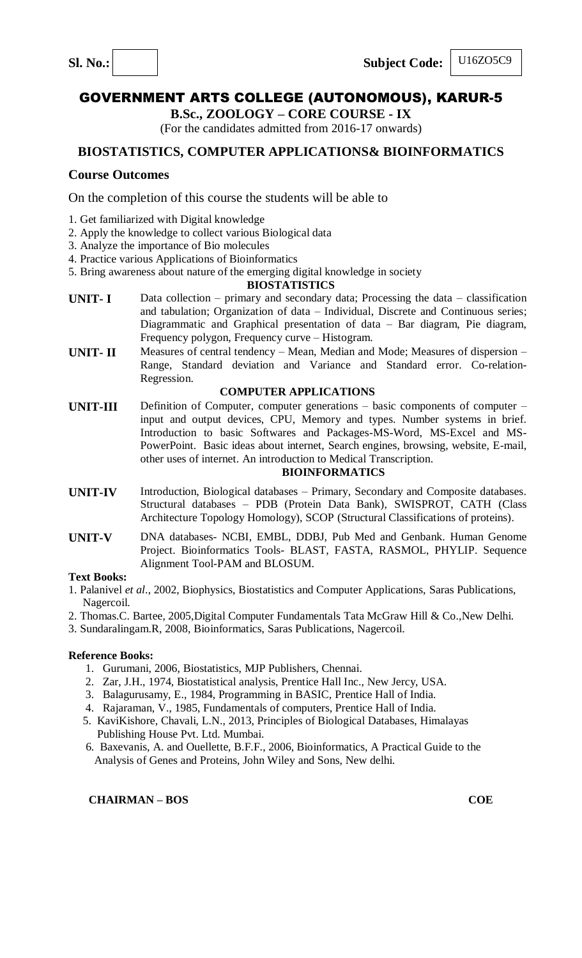Sl. No.: Subject Code:

## U16ZO5C9

# GOVERNMENT ARTS COLLEGE (AUTONOMOUS), KARUR-5

**B.Sc., ZOOLOGY – CORE COURSE - IX**

(For the candidates admitted from 2016-17 onwards)

## **BIOSTATISTICS, COMPUTER APPLICATIONS& BIOINFORMATICS**

## **Course Outcomes**

On the completion of this course the students will be able to

- 1. Get familiarized with Digital knowledge
- 2. Apply the knowledge to collect various Biological data
- 3. Analyze the importance of Bio molecules
- 4. Practice various Applications of Bioinformatics
- 5. Bring awareness about nature of the emerging digital knowledge in society

#### **BIOSTATISTICS**

- **UNIT-I** Data collection primary and secondary data; Processing the data classification and tabulation; Organization of data – Individual, Discrete and Continuous series; Diagrammatic and Graphical presentation of data – Bar diagram, Pie diagram, Frequency polygon, Frequency curve – Histogram.
- **UNIT- II** Measures of central tendency Mean, Median and Mode; Measures of dispersion Range, Standard deviation and Variance and Standard error. Co-relation-Regression.

#### **COMPUTER APPLICATIONS**

**UNIT-III** Definition of Computer, computer generations – basic components of computer – input and output devices, CPU, Memory and types. Number systems in brief. Introduction to basic Softwares and Packages-MS-Word, MS-Excel and MS-PowerPoint. Basic ideas about internet, Search engines, browsing, website, E-mail, other uses of internet. An introduction to Medical Transcription.

#### **BIOINFORMATICS**

- **UNIT-IV** Introduction, Biological databases Primary, Secondary and Composite databases. Structural databases – PDB (Protein Data Bank), SWISPROT, CATH (Class Architecture Topology Homology), SCOP (Structural Classifications of proteins).
- **UNIT-V** DNA databases- NCBI, EMBL, DDBJ, Pub Med and Genbank. Human Genome Project. Bioinformatics Tools- BLAST, FASTA, RASMOL, PHYLIP. Sequence Alignment Tool-PAM and BLOSUM.

#### **Text Books:**

- 1. Palanivel *et al*., 2002, Biophysics, Biostatistics and Computer Applications, Saras Publications, Nagercoil.
- 2. Thomas.C. Bartee, 2005,Digital Computer Fundamentals Tata McGraw Hill & Co.,New Delhi.
- 3. Sundaralingam.R, 2008, Bioinformatics, Saras Publications, Nagercoil.

#### **Reference Books:**

- 1. Gurumani, 2006, Biostatistics, MJP Publishers, Chennai.
- 2. Zar, J.H., 1974, Biostatistical analysis, Prentice Hall Inc., New Jercy, USA.
- 3. Balagurusamy, E., 1984, Programming in BASIC, Prentice Hall of India.
- 4. Rajaraman, V., 1985, Fundamentals of computers, Prentice Hall of India.
- 5. KaviKishore, Chavali, L.N., 2013, Principles of Biological Databases, Himalayas Publishing House Pvt. Ltd. Mumbai.
- 6. Baxevanis, A. and Ouellette, B.F.F., 2006, Bioinformatics, A Practical Guide to the Analysis of Genes and Proteins, John Wiley and Sons, New delhi.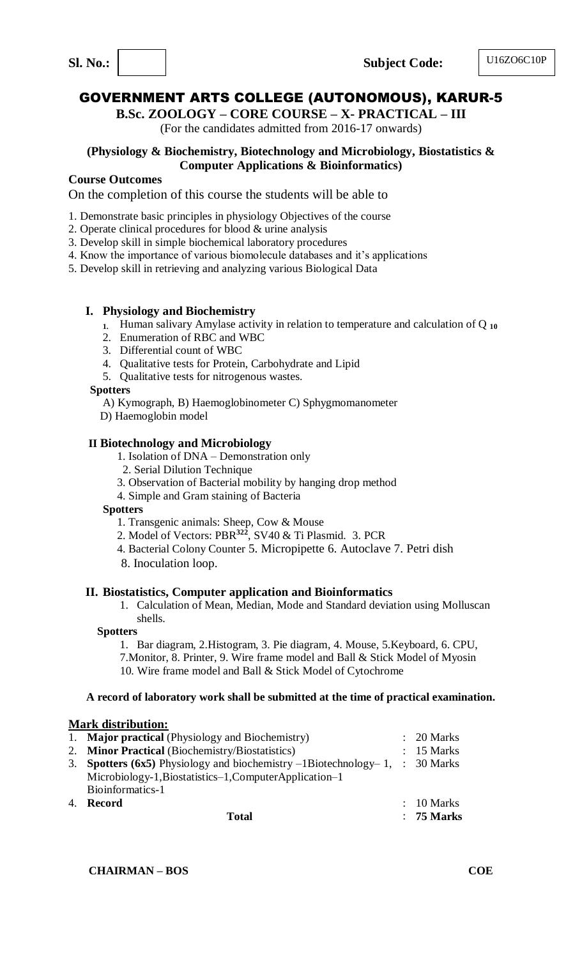**B.Sc. ZOOLOGY – CORE COURSE – X- PRACTICAL – III**

(For the candidates admitted from 2016-17 onwards)

## **(Physiology & Biochemistry, Biotechnology and Microbiology, Biostatistics & Computer Applications & Bioinformatics)**

## **Course Outcomes**

On the completion of this course the students will be able to

- 1. Demonstrate basic principles in physiology Objectives of the course
- 2. Operate clinical procedures for blood & urine analysis
- 3. Develop skill in simple biochemical laboratory procedures
- 4. Know the importance of various biomolecule databases and it's applications
- 5. Develop skill in retrieving and analyzing various Biological Data

## **I. Physiology and Biochemistry**

- **1.** Human salivary Amylase activity in relation to temperature and calculation of Q **<sup>10</sup>**
- 2. Enumeration of RBC and WBC
- 3. Differential count of WBC
- 4. Qualitative tests for Protein, Carbohydrate and Lipid
- 5. Qualitative tests for nitrogenous wastes.

## **Spotters**

A) Kymograph, B) Haemoglobinometer C) Sphygmomanometer

D) Haemoglobin model

## **II Biotechnology and Microbiology**

- 1. Isolation of DNA Demonstration only
- 2. Serial Dilution Technique
- 3. Observation of Bacterial mobility by hanging drop method
- 4. Simple and Gram staining of Bacteria

#### **Spotters**

- 1. Transgenic animals: Sheep, Cow & Mouse
- 2. Model of Vectors: PBR**<sup>322</sup>**, SV40 & Ti Plasmid. 3. PCR
- 4. Bacterial Colony Counter 5. Micropipette 6. Autoclave 7. Petri dish
- 8. Inoculation loop.

## **II. Biostatistics, Computer application and Bioinformatics**

1. Calculation of Mean, Median, Mode and Standard deviation using Molluscan shells.

#### **Spotters**

1. Bar diagram, 2.Histogram, 3. Pie diagram, 4. Mouse, 5.Keyboard, 6. CPU, 7.Monitor, 8. Printer, 9. Wire frame model and Ball & Stick Model of Myosin 10. Wire frame model and Ball & Stick Model of Cytochrome

## **A record of laboratory work shall be submitted at the time of practical examination.**

## **Mark distribution:**

| 1. Major practical (Physiology and Biochemistry)                               | $\therefore$ 20 Marks |
|--------------------------------------------------------------------------------|-----------------------|
| 2. Minor Practical (Biochemistry/Biostatistics)                                | $: 15$ Marks          |
| 3. Spotters (6x5) Physiology and biochemistry $-1$ Biotechnology-1, : 30 Marks |                       |
| Microbiology-1, Biostatistics-1, Computer Application-1                        |                       |
| Bioinformatics-1                                                               |                       |
| 4. Record                                                                      | $\therefore$ 10 Marks |
| Total                                                                          | $: 75$ Marks          |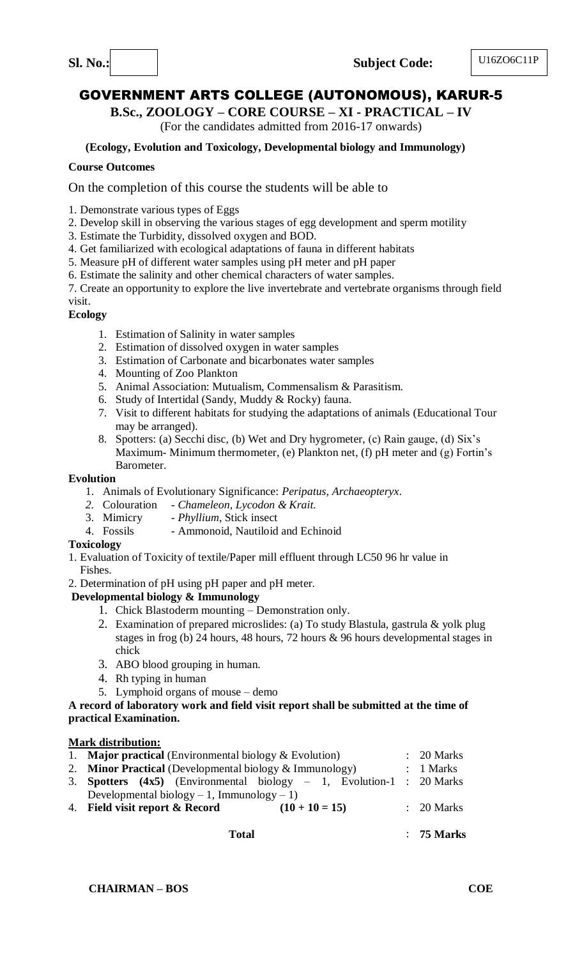**B.Sc., ZOOLOGY – CORE COURSE – XI - PRACTICAL – IV** 

(For the candidates admitted from 2016-17 onwards)

## **(Ecology, Evolution and Toxicology, Developmental biology and Immunology)**

## **Course Outcomes**

On the completion of this course the students will be able to

1. Demonstrate various types of Eggs

- 2. Develop skill in observing the various stages of egg development and sperm motility
- 3. Estimate the Turbidity, dissolved oxygen and BOD.
- 4. Get familiarized with ecological adaptations of fauna in different habitats
- 5. Measure pH of different water samples using pH meter and pH paper
- 6. Estimate the salinity and other chemical characters of water samples.

7. Create an opportunity to explore the live invertebrate and vertebrate organisms through field

## visit.

## **Ecology**

- 1. Estimation of Salinity in water samples
- 2. Estimation of dissolved oxygen in water samples
- 3. Estimation of Carbonate and bicarbonates water samples
- 4. Mounting of Zoo Plankton
- 5. Animal Association: Mutualism, Commensalism & Parasitism.
- 6. Study of Intertidal (Sandy, Muddy & Rocky) fauna.
- 7. Visit to different habitats for studying the adaptations of animals (Educational Tour may be arranged).
- 8. Spotters: (a) Secchi disc, (b) Wet and Dry hygrometer, (c) Rain gauge, (d) Six's Maximum- Minimum thermometer, (e) Plankton net, (f) pH meter and (g) Fortin's Barometer.

## **Evolution**

- 1. Animals of Evolutionary Significance: *Peripatus, Archaeopteryx*.
- *2.* Colouration *Chameleon, Lycodon & Krait.*
- 3. Mimicry *Phyllium*, Stick insect
- 4. Fossils Ammonoid, Nautiloid and Echinoid

## **Toxicology**

- 1. Evaluation of Toxicity of textile/Paper mill effluent through LC50 96 hr value in Fishes.
- 2. Determination of pH using pH paper and pH meter.

## **Developmental biology & Immunology**

- 1. Chick Blastoderm mounting Demonstration only.
- 2. Examination of prepared microslides: (a) To study Blastula, gastrula & yolk plug stages in frog (b) 24 hours, 48 hours, 72 hours & 96 hours developmental stages in chick
- 3. ABO blood grouping in human.
- 4. Rh typing in human
- 5. Lymphoid organs of mouse demo

## **A record of laboratory work and field visit report shall be submitted at the time of practical Examination.**

## **Mark distribution:**

| 1. <b>Major practical</b> (Environmental biology $\&$ Evolution)              | $\therefore$ 20 Marks |
|-------------------------------------------------------------------------------|-----------------------|
| 2. Minor Practical (Developmental biology & Immunology)                       | : 1 Marks             |
| 3. <b>Spotters</b> (4x5) (Environmental biology $-1$ , Evolution-1 : 20 Marks |                       |
| Developmental biology – 1, Immunology – 1)                                    |                       |
| 4. Field visit report & Record<br>$(10 + 10 = 15)$                            | $\therefore$ 20 Marks |
| Total                                                                         | $: 75$ Marks          |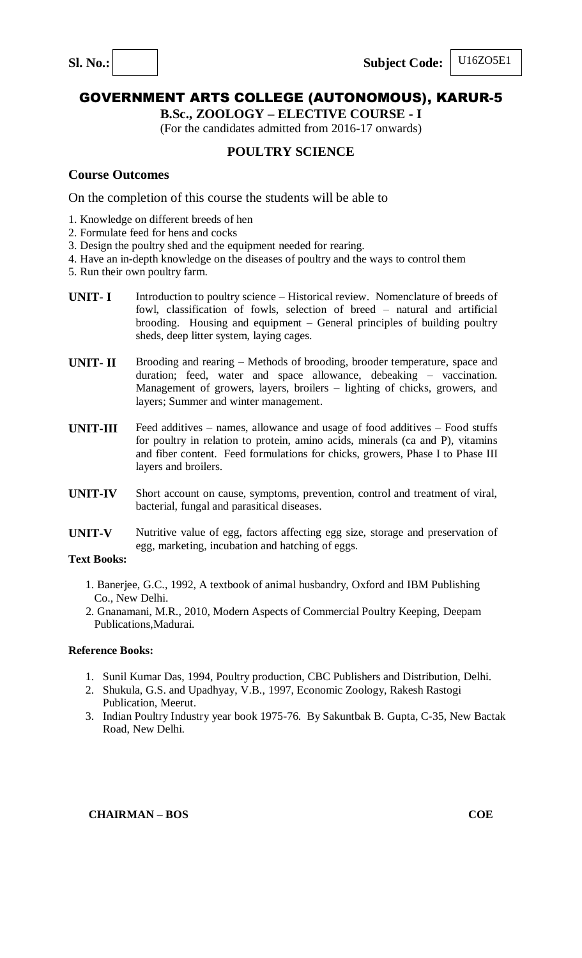## U16ZO5E1

## GOVERNMENT ARTS COLLEGE (AUTONOMOUS), KARUR-5

**B.Sc., ZOOLOGY – ELECTIVE COURSE - I**

(For the candidates admitted from 2016-17 onwards)

## **POULTRY SCIENCE**

#### **Course Outcomes**

On the completion of this course the students will be able to

- 1. Knowledge on different breeds of hen
- 2. Formulate feed for hens and cocks
- 3. Design the poultry shed and the equipment needed for rearing.
- 4. Have an in-depth knowledge on the diseases of poultry and the ways to control them
- 5. Run their own poultry farm.
- **UNIT-I** Introduction to poultry science Historical review. Nomenclature of breeds of fowl, classification of fowls, selection of breed – natural and artificial brooding. Housing and equipment – General principles of building poultry sheds, deep litter system, laying cages.
- **UNIT- II** Brooding and rearing Methods of brooding, brooder temperature, space and duration; feed, water and space allowance, debeaking – vaccination. Management of growers, layers, broilers – lighting of chicks, growers, and layers; Summer and winter management.
- **UNIT-III** Feed additives names, allowance and usage of food additives Food stuffs for poultry in relation to protein, amino acids, minerals (ca and P), vitamins and fiber content. Feed formulations for chicks, growers, Phase I to Phase III layers and broilers.
- **UNIT-IV** Short account on cause, symptoms, prevention, control and treatment of viral, bacterial, fungal and parasitical diseases.
- **UNIT-V** Nutritive value of egg, factors affecting egg size, storage and preservation of egg, marketing, incubation and hatching of eggs.

#### **Text Books:**

- 1. Banerjee, G.C., 1992, A textbook of animal husbandry, Oxford and IBM Publishing Co., New Delhi.
- 2. Gnanamani, M.R., 2010, Modern Aspects of Commercial Poultry Keeping, Deepam Publications,Madurai.

#### **Reference Books:**

- 1. Sunil Kumar Das, 1994, Poultry production, CBC Publishers and Distribution, Delhi.
- 2. Shukula, G.S. and Upadhyay, V.B., 1997, Economic Zoology, Rakesh Rastogi Publication, Meerut.
- 3. Indian Poultry Industry year book 1975-76. By Sakuntbak B. Gupta, C-35, New Bactak Road, New Delhi.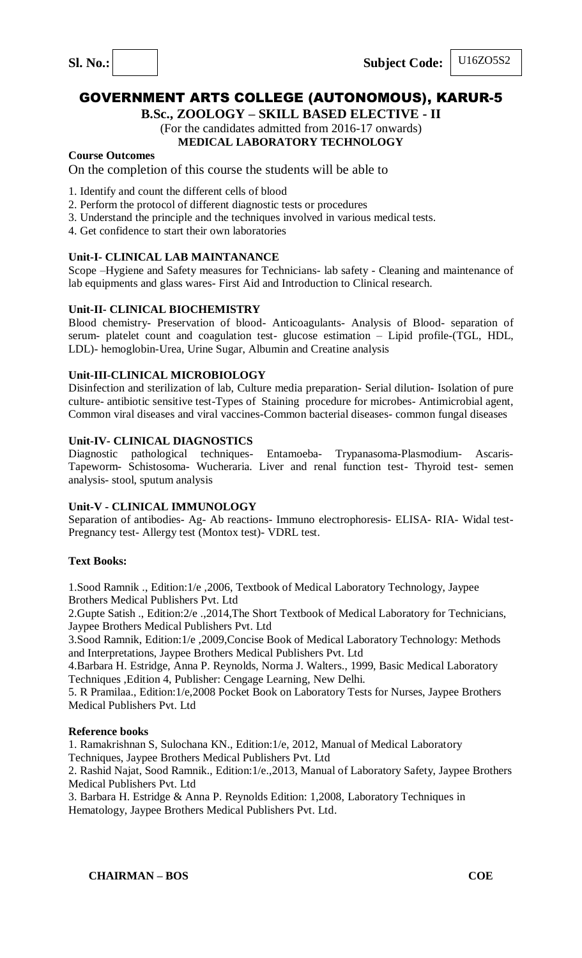**B.Sc., ZOOLOGY – SKILL BASED ELECTIVE - II**

(For the candidates admitted from 2016-17 onwards) **MEDICAL LABORATORY TECHNOLOGY**

#### **Course Outcomes**

On the completion of this course the students will be able to

- 1. Identify and count the different cells of blood
- 2. Perform the protocol of different diagnostic tests or procedures
- 3. Understand the principle and the techniques involved in various medical tests.
- 4. Get confidence to start their own laboratories

#### **Unit-I- CLINICAL LAB MAINTANANCE**

Scope –Hygiene and Safety measures for Technicians- lab safety - Cleaning and maintenance of lab equipments and glass wares- First Aid and Introduction to Clinical research.

#### **Unit-II- CLINICAL BIOCHEMISTRY**

Blood chemistry- Preservation of blood- Anticoagulants- Analysis of Blood- separation of serum- platelet count and coagulation test- glucose estimation – Lipid profile-(TGL, HDL, LDL)- hemoglobin-Urea, Urine Sugar, Albumin and Creatine analysis

#### **Unit-III-CLINICAL MICROBIOLOGY**

Disinfection and sterilization of lab, Culture media preparation- Serial dilution- Isolation of pure culture- antibiotic sensitive test-Types of Staining procedure for microbes- Antimicrobial agent, Common viral diseases and viral vaccines-Common bacterial diseases- common fungal diseases

#### **Unit-IV- CLINICAL DIAGNOSTICS**

Diagnostic pathological techniques- Entamoeba- Trypanasoma-Plasmodium- Ascaris-Tapeworm- Schistosoma- Wucheraria. Liver and renal function test- Thyroid test- semen analysis- stool, sputum analysis

#### **Unit-V - CLINICAL IMMUNOLOGY**

Separation of antibodies- Ag- Ab reactions- Immuno electrophoresis- ELISA- RIA- Widal test-Pregnancy test- Allergy test (Montox test)- VDRL test.

#### **Text Books:**

1.Sood Ramnik ., Edition:1/e ,2006, Textbook of Medical Laboratory Technology, Jaypee Brothers Medical Publishers Pvt. Ltd

2.Gupte Satish ., Edition:2/e .,2014,The Short Textbook of Medical Laboratory for Technicians, Jaypee Brothers Medical Publishers Pvt. Ltd

3.Sood Ramnik, Edition:1/e ,2009,Concise Book of Medical Laboratory Technology: Methods and Interpretations, Jaypee Brothers Medical Publishers Pvt. Ltd

4.Barbara H. Estridge, Anna P. Reynolds, Norma J. Walters., 1999, Basic Medical Laboratory Techniques ,Edition 4, Publisher: Cengage Learning, New Delhi.

5. R Pramilaa., Edition:1/e,2008 Pocket Book on Laboratory Tests for Nurses, Jaypee Brothers Medical Publishers Pvt. Ltd

#### **Reference books**

1. Ramakrishnan S, Sulochana KN., Edition:1/e, 2012, Manual of Medical Laboratory Techniques, Jaypee Brothers Medical Publishers Pvt. Ltd

2. Rashid Najat, Sood Ramnik., Edition:1/e.,2013, Manual of Laboratory Safety, Jaypee Brothers Medical Publishers Pvt. Ltd

3. Barbara H. Estridge & Anna P. Reynolds Edition: 1,2008, Laboratory Techniques in Hematology, Jaypee Brothers Medical Publishers Pvt. Ltd.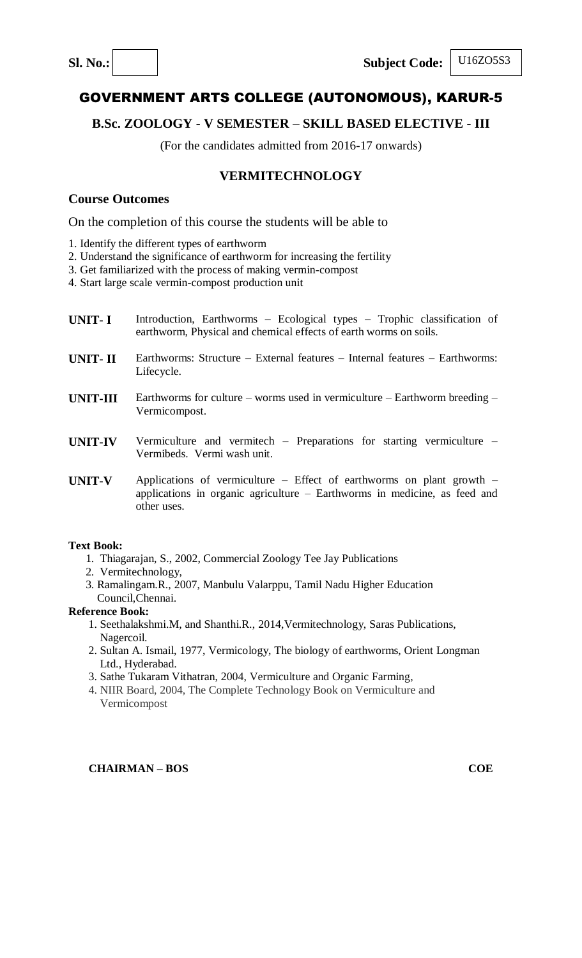## **B.Sc. ZOOLOGY - V SEMESTER – SKILL BASED ELECTIVE - III**

(For the candidates admitted from 2016-17 onwards)

## **VERMITECHNOLOGY**

## **Course Outcomes**

On the completion of this course the students will be able to

- 1. Identify the different types of earthworm
- 2. Understand the significance of earthworm for increasing the fertility
- 3. Get familiarized with the process of making vermin-compost

4. Start large scale vermin-compost production unit

- **UNIT- I** Introduction, Earthworms Ecological types Trophic classification of earthworm, Physical and chemical effects of earth worms on soils.
- **UNIT- II** Earthworms: Structure External features Internal features Earthworms: Lifecycle.
- **UNIT-III** Earthworms for culture worms used in vermiculture Earthworm breeding Vermicompost.
- **UNIT-IV** Vermiculture and vermitech Preparations for starting vermiculture Vermibeds. Vermi wash unit.
- **UNIT-V** Applications of vermiculture Effect of earthworms on plant growth applications in organic agriculture – Earthworms in medicine, as feed and other uses.

#### **Text Book:**

- 1.Thiagarajan, S., 2002, Commercial Zoology Tee Jay Publications
- 2. Vermitechnology,
- 3. Ramalingam.R., 2007, Manbulu Valarppu, Tamil Nadu Higher Education Council,Chennai.

#### **Reference Book:**

- 1. Seethalakshmi.M, and Shanthi.R., 2014,Vermitechnology, Saras Publications, Nagercoil.
- 2. Sultan A. Ismail, 1977, Vermicology, The biology of earthworms, Orient Longman Ltd., Hyderabad.
- 3. [Sathe Tukaram Vithatran,](http://www.amazon.in/s/ref=dp_byline_sr_book_1?ie=UTF8&field-author=Sathe+Tukaram+Vithatran&search-alias=stripbooks) 2004, Vermiculture and Organic Farming,
- 4. NIIR Board, 2004, The Complete Technology Book on Vermiculture and Vermicompost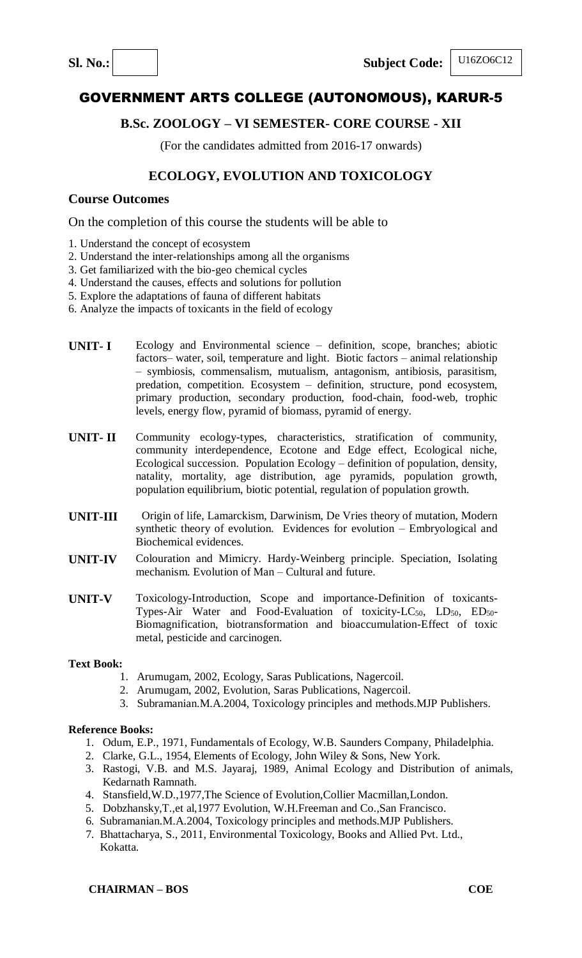

## **B.Sc. ZOOLOGY – VI SEMESTER- CORE COURSE - XII**

(For the candidates admitted from 2016-17 onwards)

# **ECOLOGY, EVOLUTION AND TOXICOLOGY**

## **Course Outcomes**

On the completion of this course the students will be able to

- 1. Understand the concept of ecosystem
- 2. Understand the inter-relationships among all the organisms
- 3. Get familiarized with the bio-geo chemical cycles
- 4. Understand the causes, effects and solutions for pollution
- 5. Explore the adaptations of fauna of different habitats
- 6. Analyze the impacts of toxicants in the field of ecology
- **UNIT- I** Ecology and Environmental science definition, scope, branches; abiotic factors– water, soil, temperature and light. Biotic factors – animal relationship – symbiosis, commensalism, mutualism, antagonism, antibiosis, parasitism, predation, competition. Ecosystem – definition, structure, pond ecosystem, primary production, secondary production, food-chain, food-web, trophic levels, energy flow, pyramid of biomass, pyramid of energy.
- **UNIT- II** Community ecology-types, characteristics, stratification of community, community interdependence, Ecotone and Edge effect, Ecological niche, Ecological succession. Population Ecology – definition of population, density, natality, mortality, age distribution, age pyramids, population growth, population equilibrium, biotic potential, regulation of population growth.
- **UNIT-III** Origin of life, Lamarckism, Darwinism, De Vries theory of mutation, Modern synthetic theory of evolution. Evidences for evolution – Embryological and Biochemical evidences.
- **UNIT-IV** Colouration and Mimicry. Hardy-Weinberg principle. Speciation, Isolating mechanism. Evolution of Man – Cultural and future.
- **UNIT-V** Toxicology-Introduction, Scope and importance-Definition of toxicants-Types-Air Water and Food-Evaluation of toxicity-LC<sub>50</sub>, LD<sub>50</sub>, ED<sub>50</sub>-Biomagnification, biotransformation and bioaccumulation-Effect of toxic metal, pesticide and carcinogen.

#### **Text Book:**

- 1. Arumugam, 2002, Ecology, Saras Publications, Nagercoil.
- 2. Arumugam, 2002, Evolution, Saras Publications, Nagercoil.
- 3. Subramanian.M.A.2004, Toxicology principles and methods.MJP Publishers.

- 1. Odum, E.P., 1971, Fundamentals of Ecology, W.B. Saunders Company, Philadelphia.
- 2. Clarke, G.L., 1954, Elements of Ecology, John Wiley & Sons, New York.
- 3. Rastogi, V.B. and M.S. Jayaraj, 1989, Animal Ecology and Distribution of animals, Kedarnath Ramnath.
- 4. Stansfield,W.D.,1977,The Science of Evolution,Collier Macmillan,London.
- 5. Dobzhansky,T.,et al,1977 Evolution, W.H.Freeman and Co.,San Francisco.
- 6. Subramanian.M.A.2004, Toxicology principles and methods.MJP Publishers.
- 7. Bhattacharya, S., 2011, Environmental Toxicology, Books and Allied Pvt. Ltd., Kokatta.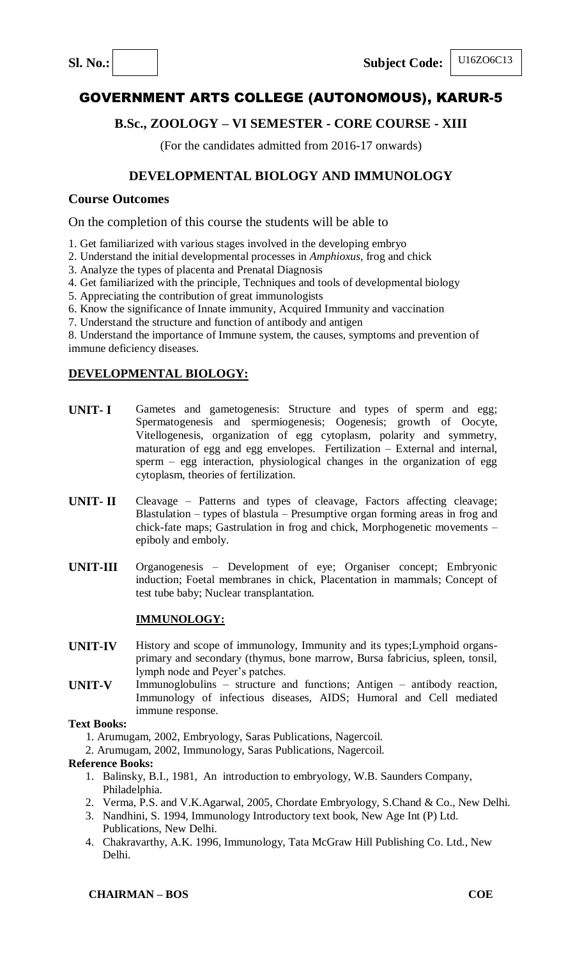# **B.Sc., ZOOLOGY – VI SEMESTER - CORE COURSE - XIII**

(For the candidates admitted from 2016-17 onwards)

# **DEVELOPMENTAL BIOLOGY AND IMMUNOLOGY**

## **Course Outcomes**

On the completion of this course the students will be able to

- 1. Get familiarized with various stages involved in the developing embryo
- 2. Understand the initial developmental processes in *Amphioxus*, frog and chick
- 3. Analyze the types of placenta and Prenatal Diagnosis
- 4. Get familiarized with the principle, Techniques and tools of developmental biology
- 5. Appreciating the contribution of great immunologists
- 6. Know the significance of Innate immunity, Acquired Immunity and vaccination
- 7. Understand the structure and function of antibody and antigen

8. Understand the importance of Immune system, the causes, symptoms and prevention of immune deficiency diseases.

## **DEVELOPMENTAL BIOLOGY:**

- **UNIT- I** Gametes and gametogenesis: Structure and types of sperm and egg; Spermatogenesis and spermiogenesis; Oogenesis; growth of Oocyte, Vitellogenesis, organization of egg cytoplasm, polarity and symmetry, maturation of egg and egg envelopes. Fertilization – External and internal, sperm – egg interaction, physiological changes in the organization of egg cytoplasm, theories of fertilization.
- **UNIT- II** Cleavage Patterns and types of cleavage, Factors affecting cleavage; Blastulation – types of blastula – Presumptive organ forming areas in frog and chick-fate maps; Gastrulation in frog and chick, Morphogenetic movements – epiboly and emboly.
- **UNIT-III** Organogenesis Development of eye; Organiser concept; Embryonic induction; Foetal membranes in chick, Placentation in mammals; Concept of test tube baby; Nuclear transplantation.

## **IMMUNOLOGY:**

- **UNIT-IV** History and scope of immunology, Immunity and its types;Lymphoid organsprimary and secondary (thymus, bone marrow, Bursa fabricius, spleen, tonsil, lymph node and Peyer's patches.
- **UNIT-V** Immunoglobulins structure and functions; Antigen antibody reaction, Immunology of infectious diseases, AIDS; Humoral and Cell mediated immune response.

## **Text Books:**

- 1. Arumugam, 2002, Embryology, Saras Publications, Nagercoil.
- 2. Arumugam, 2002, Immunology, Saras Publications, Nagercoil.

- 1. Balinsky, B.I., 1981, An introduction to embryology, W.B. Saunders Company, Philadelphia.
- 2. Verma, P.S. and V.K.Agarwal, 2005, Chordate Embryology, S.Chand & Co., New Delhi.
- 3. Nandhini, S. 1994, Immunology Introductory text book, New Age Int (P) Ltd. Publications, New Delhi.
- 4. Chakravarthy, A.K. 1996, Immunology, Tata McGraw Hill Publishing Co. Ltd., New Delhi.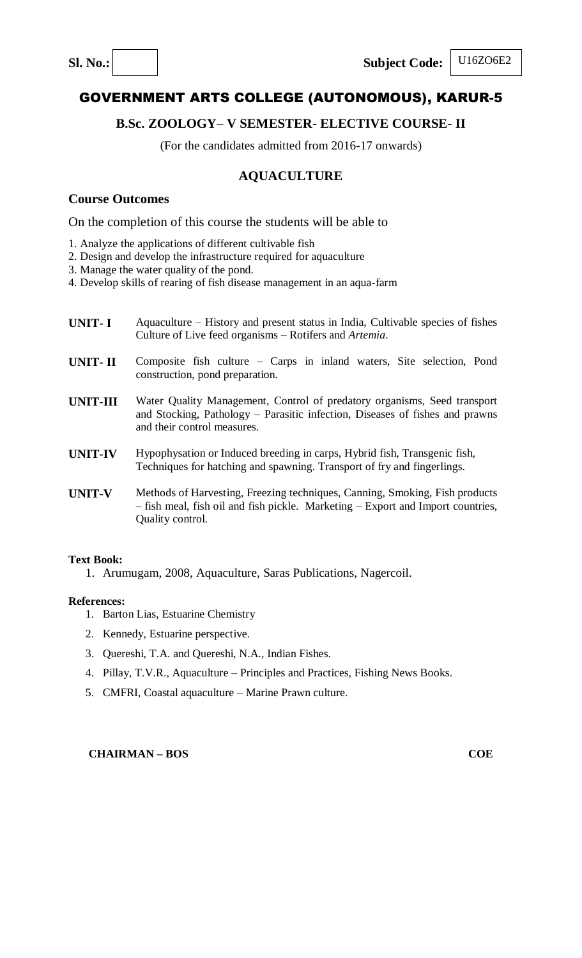## **B.Sc. ZOOLOGY– V SEMESTER- ELECTIVE COURSE- II**

(For the candidates admitted from 2016-17 onwards)

## **AQUACULTURE**

## **Course Outcomes**

On the completion of this course the students will be able to

- 1. Analyze the applications of different cultivable fish
- 2. Design and develop the infrastructure required for aquaculture
- 3. Manage the water quality of the pond.

4. Develop skills of rearing of fish disease management in an aqua-farm

- **UNIT- I** Aquaculture History and present status in India, Cultivable species of fishes Culture of Live feed organisms – Rotifers and *Artemia*.
- **UNIT- II** Composite fish culture Carps in inland waters, Site selection, Pond construction, pond preparation.
- **UNIT-III** Water Quality Management, Control of predatory organisms, Seed transport and Stocking, Pathology – Parasitic infection, Diseases of fishes and prawns and their control measures.
- **UNIT-IV** Hypophysation or Induced breeding in carps, Hybrid fish, Transgenic fish, Techniques for hatching and spawning. Transport of fry and fingerlings.
- **UNIT-V** Methods of Harvesting, Freezing techniques, Canning, Smoking, Fish products – fish meal, fish oil and fish pickle. Marketing – Export and Import countries, Quality control.

#### **Text Book:**

1. Arumugam, 2008, Aquaculture, Saras Publications, Nagercoil.

#### **References:**

- 1. Barton Lias, Estuarine Chemistry
- 2. Kennedy, Estuarine perspective.
- 3. Quereshi, T.A. and Quereshi, N.A., Indian Fishes.
- 4. Pillay, T.V.R., Aquaculture Principles and Practices, Fishing News Books.
- 5. CMFRI, Coastal aquaculture Marine Prawn culture.